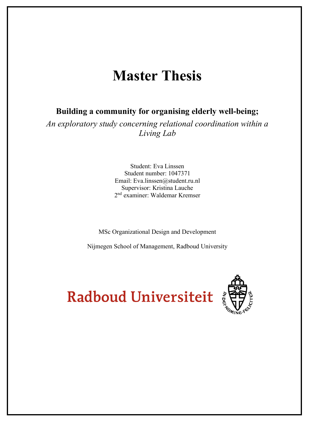# **Master Thesis**

**Building a community for organising elderly well-being;**

*An exploratory study concerning relational coordination within a Living Lab*

> Student: Eva Linssen Student number: 1047371 Email: Eva.linssen@student.ru.nl Supervisor: Kristina Lauche 2nd examiner: Waldemar Kremser

MSc Organizational Design and Development

Nijmegen School of Management, Radboud University



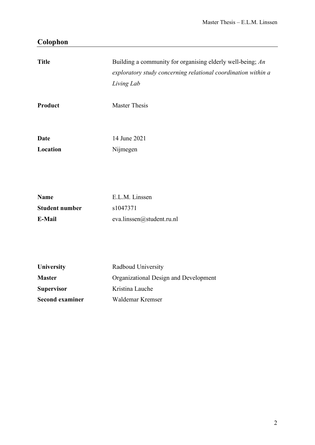# **Colophon**

| <b>Title</b><br>Product                        | Building a community for organising elderly well-being; An<br>exploratory study concerning relational coordination within a<br>Living Lab<br><b>Master Thesis</b> |
|------------------------------------------------|-------------------------------------------------------------------------------------------------------------------------------------------------------------------|
|                                                |                                                                                                                                                                   |
| <b>Date</b>                                    | 14 June 2021                                                                                                                                                      |
| Location                                       | Nijmegen                                                                                                                                                          |
| <b>Name</b><br><b>Student number</b><br>E-Mail | E.L.M. Linssen<br>s1047371<br>eva.linssen@student.ru.nl                                                                                                           |
| University<br><b>Master</b>                    | Radboud University<br>Organizational Design and Development                                                                                                       |
| <b>Supervisor</b>                              | Kristina Lauche                                                                                                                                                   |
| <b>Second examiner</b>                         | Waldemar Kremser                                                                                                                                                  |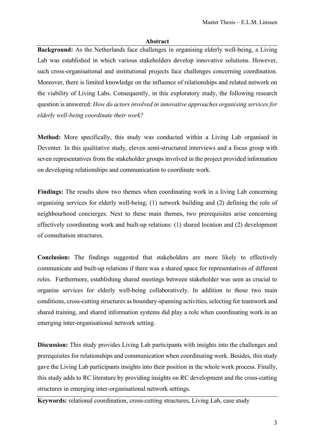#### **Abstract**

<span id="page-2-0"></span>**Background:** As the Netherlands face challenges in organising elderly well-being, a Living Lab was established in which various stakeholders develop innovative solutions. However, such cross-organisational and institutional projects face challenges concerning coordination. Moreover, there is limited knowledge on the influence of relationships and related network on the viability of Living Labs. Consequently, in this exploratory study, the following research question is answered: *How do actors involved in innovative approaches organising services for elderly well-being coordinate their work?*

**Method:** More specifically, this study was conducted within a Living Lab organised in Deventer. In this qualitative study, eleven semi-structured interviews and a focus group with seven representatives from the stakeholder groups involved in the project provided information on developing relationships and communication to coordinate work.

Findings: The results show two themes when coordinating work in a living Lab concerning organising services for elderly well-being; (1) network building and (2) defining the role of neighbourhood concierges. Next to these main themes, two prerequisites arise concerning effectively coordinating work and built-up relations: (1) shared location and (2) development of consultation structures.

**Conclusion:** The findings suggested that stakeholders are more likely to effectively communicate and built-up relations if there was a shared space for representatives of different roles. Furthermore, establishing shared meetings between stakeholder was seen as crucial to organise services for elderly well-being collaboratively. In addition to those two main conditions, cross-cutting structures as boundary-spanning activities, selecting for teamwork and shared training, and shared information systems did play a role when coordinating work in an emerging inter-organisational network setting.

**Discussion:** This study provides Living Lab participants with insights into the challenges and prerequisites for relationships and communication when coordinating work. Besides, this study gave the Living Lab participants insights into their position in the whole work process. Finally, this study adds to RC literature by providing insights on RC development and the cross-cutting structures in emerging inter-organisational network settings.

**Keywords:** relational coordination, cross-cutting structures, Living Lab, case study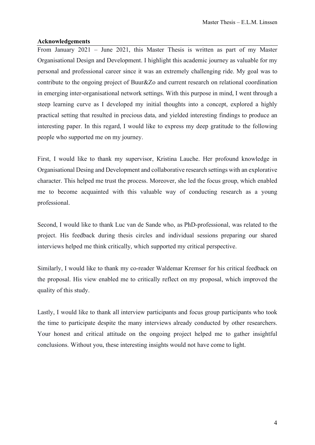## <span id="page-3-0"></span>**Acknowledgements**

From January 2021 – June 2021, this Master Thesis is written as part of my Master Organisational Design and Development. I highlight this academic journey as valuable for my personal and professional career since it was an extremely challenging ride. My goal was to contribute to the ongoing project of Buur&Zo and current research on relational coordination in emerging inter-organisational network settings. With this purpose in mind, I went through a steep learning curve as I developed my initial thoughts into a concept, explored a highly practical setting that resulted in precious data, and yielded interesting findings to produce an interesting paper. In this regard, I would like to express my deep gratitude to the following people who supported me on my journey.

First, I would like to thank my supervisor, Kristina Lauche. Her profound knowledge in Organisational Desing and Development and collaborative research settings with an explorative character. This helped me trust the process. Moreover, she led the focus group, which enabled me to become acquainted with this valuable way of conducting research as a young professional.

Second, I would like to thank Luc van de Sande who, as PhD-professional, was related to the project. His feedback during thesis circles and individual sessions preparing our shared interviews helped me think critically, which supported my critical perspective.

Similarly, I would like to thank my co-reader Waldemar Kremser for his critical feedback on the proposal. His view enabled me to critically reflect on my proposal, which improved the quality of this study.

Lastly, I would like to thank all interview participants and focus group participants who took the time to participate despite the many interviews already conducted by other researchers. Your honest and critical attitude on the ongoing project helped me to gather insightful conclusions. Without you, these interesting insights would not have come to light.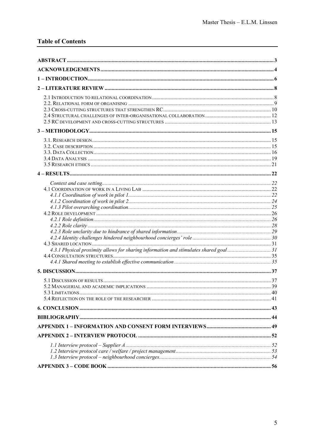## **Table of Contents**

| 4.3.1 Physical proximity allows for sharing information and stimulates shared goal31 |  |
|--------------------------------------------------------------------------------------|--|
|                                                                                      |  |
|                                                                                      |  |
|                                                                                      |  |
|                                                                                      |  |
|                                                                                      |  |
|                                                                                      |  |
|                                                                                      |  |
|                                                                                      |  |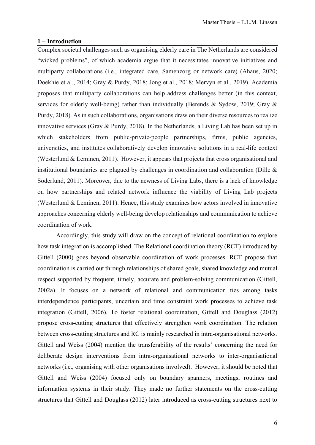#### <span id="page-5-0"></span>**1 – Introduction**

Complex societal challenges such as organising elderly care in The Netherlands are considered "wicked problems", of which academia argue that it necessitates innovative initiatives and multiparty collaborations (i.e., integrated care, Samenzorg or network care) (Ahaus, 2020; Doekhie et al., 2014; Gray & Purdy, 2018; Jong et al., 2018; Mervyn et al., 2019). Academia proposes that multiparty collaborations can help address challenges better (in this context, services for elderly well-being) rather than individually (Berends & Sydow, 2019; Gray & Purdy, 2018). As in such collaborations, organisations draw on their diverse resources to realize innovative services (Gray & Purdy, 2018). In the Netherlands, a Living Lab has been set up in which stakeholders from public-private-people partnerships, firms, public agencies, universities, and institutes collaboratively develop innovative solutions in a real-life context (Westerlund & Leminen, 2011). However, it appears that projects that cross organisational and institutional boundaries are plagued by challenges in coordination and collaboration (Dille & Söderlund, 2011). Moreover, due to the newness of Living Labs, there is a lack of knowledge on how partnerships and related network influence the viability of Living Lab projects (Westerlund & Leminen, 2011). Hence, this study examines how actors involved in innovative approaches concerning elderly well-being develop relationships and communication to achieve coordination of work.

Accordingly, this study will draw on the concept of relational coordination to explore how task integration is accomplished. The Relational coordination theory (RCT) introduced by Gittell (2000) goes beyond observable coordination of work processes. RCT propose that coordination is carried out through relationships of shared goals, shared knowledge and mutual respect supported by frequent, timely, accurate and problem-solving communication (Gittell, 2002a). It focuses on a network of relational and communication ties among tasks interdependence participants, uncertain and time constraint work processes to achieve task integration (Gittell, 2006). To foster relational coordination, Gittell and Douglass (2012) propose cross-cutting structures that effectively strengthen work coordination. The relation between cross-cutting structures and RC is mainly researched in intra-organisational networks. Gittell and Weiss (2004) mention the transferability of the results' concerning the need for deliberate design interventions from intra-organisational networks to inter-organisational networks (i.e., organising with other organisations involved). However, it should be noted that Gittell and Weiss (2004) focused only on boundary spanners, meetings, routines and information systems in their study. They made no further statements on the cross-cutting structures that Gittell and Douglass (2012) later introduced as cross-cutting structures next to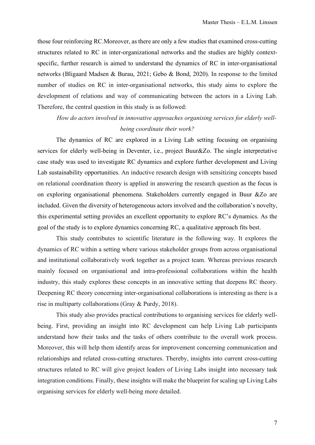those four reinforcing RC.Moreover, as there are only a few studies that examined cross-cutting structures related to RC in inter-organizational networks and the studies are highly contextspecific, further research is aimed to understand the dynamics of RC in inter-organisational networks (Bligaard Madsen & Burau, 2021; Gebo & Bond, 2020). In response to the limited number of studies on RC in inter-organisational networks, this study aims to explore the development of relations and way of communicating between the actors in a Living Lab. Therefore, the central question in this study is as followed:

*How do actors involved in innovative approaches organising services for elderly wellbeing coordinate their work?*

The dynamics of RC are explored in a Living Lab setting focusing on organising services for elderly well-being in Deventer, i.e., project Buur&Zo. The single interpretative case study was used to investigate RC dynamics and explore further development and Living Lab sustainability opportunities. An inductive research design with sensitizing concepts based on relational coordination theory is applied in answering the research question as the focus is on exploring organisational phenomena. Stakeholders currently engaged in Buur &Zo are included. Given the diversity of heterogeneous actors involved and the collaboration's novelty, this experimental setting provides an excellent opportunity to explore RC's dynamics. As the goal of the study is to explore dynamics concerning RC, a qualitative approach fits best.

This study contributes to scientific literature in the following way. It explores the dynamics of RC within a setting where various stakeholder groups from across organisational and institutional collaboratively work together as a project team. Whereas previous research mainly focused on organisational and intra-professional collaborations within the health industry, this study explores these concepts in an innovative setting that deepens RC theory. Deepening RC theory concerning inter-organisational collaborations is interesting as there is a rise in multiparty collaborations (Gray & Purdy, 2018).

This study also provides practical contributions to organising services for elderly wellbeing. First, providing an insight into RC development can help Living Lab participants understand how their tasks and the tasks of others contribute to the overall work process. Moreover, this will help them identify areas for improvement concerning communication and relationships and related cross-cutting structures. Thereby, insights into current cross-cutting structures related to RC will give project leaders of Living Labs insight into necessary task integration conditions. Finally, these insights will make the blueprint for scaling up Living Labs organising services for elderly well-being more detailed.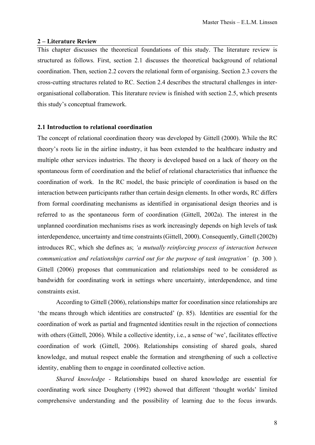#### <span id="page-7-0"></span>**2 – Literature Review**

This chapter discusses the theoretical foundations of this study. The literature review is structured as follows. First, section 2.1 discusses the theoretical background of relational coordination. Then, section 2.2 covers the relational form of organising. Section 2.3 covers the cross-cutting structures related to RC. Section 2.4 describes the structural challenges in interorganisational collaboration. This literature review is finished with section 2.5, which presents this study's conceptual framework.

#### <span id="page-7-1"></span>**2.1 Introduction to relational coordination**

The concept of relational coordination theory was developed by Gittell (2000). While the RC theory's roots lie in the airline industry, it has been extended to the healthcare industry and multiple other services industries. The theory is developed based on a lack of theory on the spontaneous form of coordination and the belief of relational characteristics that influence the coordination of work. In the RC model, the basic principle of coordination is based on the interaction between participants rather than certain design elements. In other words, RC differs from formal coordinating mechanisms as identified in organisational design theories and is referred to as the spontaneous form of coordination (Gittell, 2002a). The interest in the unplanned coordination mechanisms rises as work increasingly depends on high levels of task interdependence, uncertainty and time constraints(Gittell, 2000). Consequently, Gittell (2002b) introduces RC, which she defines as; *'a mutually reinforcing process of interaction between communication and relationships carried out for the purpose of task integration'* (p. 300 ). Gittell (2006) proposes that communication and relationships need to be considered as bandwidth for coordinating work in settings where uncertainty, interdependence, and time constraints exist.

According to Gittell (2006), relationships matter for coordination since relationships are 'the means through which identities are constructed' (p. 85). Identities are essential for the coordination of work as partial and fragmented identities result in the rejection of connections with others (Gittell, 2006). While a collective identity, i.e., a sense of 'we', facilitates effective coordination of work (Gittell, 2006). Relationships consisting of shared goals, shared knowledge, and mutual respect enable the formation and strengthening of such a collective identity, enabling them to engage in coordinated collective action.

*Shared knowledge -* Relationships based on shared knowledge are essential for coordinating work since Dougherty (1992) showed that different 'thought worlds' limited comprehensive understanding and the possibility of learning due to the focus inwards.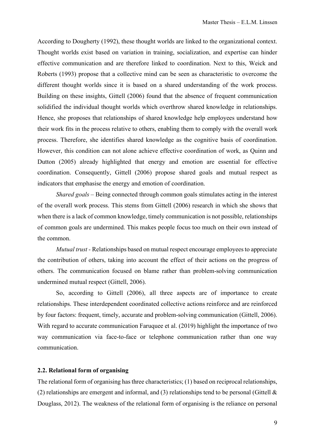According to Dougherty (1992), these thought worlds are linked to the organizational context. Thought worlds exist based on variation in training, socialization, and expertise can hinder effective communication and are therefore linked to coordination. Next to this, Weick and Roberts (1993) propose that a collective mind can be seen as characteristic to overcome the different thought worlds since it is based on a shared understanding of the work process. Building on these insights, Gittell (2006) found that the absence of frequent communication solidified the individual thought worlds which overthrow shared knowledge in relationships. Hence, she proposes that relationships of shared knowledge help employees understand how their work fits in the process relative to others, enabling them to comply with the overall work process. Therefore, she identifies shared knowledge as the cognitive basis of coordination. However, this condition can not alone achieve effective coordination of work, as Quinn and Dutton (2005) already highlighted that energy and emotion are essential for effective coordination. Consequently, Gittell (2006) propose shared goals and mutual respect as indicators that emphasise the energy and emotion of coordination.

*Shared goals –* Being connected through common goals stimulates acting in the interest of the overall work process. This stems from Gittell (2006) research in which she shows that when there is a lack of common knowledge, timely communication is not possible, relationships of common goals are undermined. This makes people focus too much on their own instead of the common.

*Mutual trust -* Relationships based on mutual respect encourage employees to appreciate the contribution of others, taking into account the effect of their actions on the progress of others. The communication focused on blame rather than problem-solving communication undermined mutual respect (Gittell, 2006).

So, according to Gittell (2006), all three aspects are of importance to create relationships. These interdependent coordinated collective actions reinforce and are reinforced by four factors: frequent, timely, accurate and problem-solving communication (Gittell, 2006). With regard to accurate communication Faruquee et al. (2019) highlight the importance of two way communication via face-to-face or telephone communication rather than one way communication.

#### <span id="page-8-0"></span>**2.2. Relational form of organising**

The relational form of organising has three characteristics; (1) based on reciprocal relationships, (2) relationships are emergent and informal, and (3) relationships tend to be personal (Gittell  $\&$ Douglass, 2012). The weakness of the relational form of organising is the reliance on personal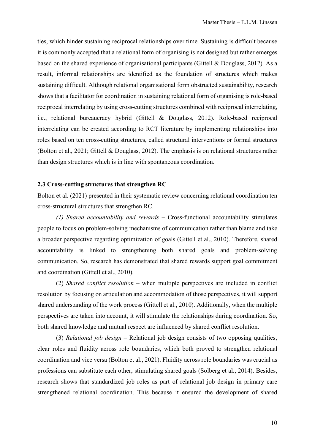ties, which hinder sustaining reciprocal relationships over time. Sustaining is difficult because it is commonly accepted that a relational form of organising is not designed but rather emerges based on the shared experience of organisational participants (Gittell & Douglass, 2012). As a result, informal relationships are identified as the foundation of structures which makes sustaining difficult. Although relational organisational form obstructed sustainability, research shows that a facilitator for coordination in sustaining relational form of organising is role-based reciprocal interrelating by using cross-cutting structures combined with reciprocal interrelating, i.e., relational bureaucracy hybrid (Gittell & Douglass, 2012). Role-based reciprocal interrelating can be created according to RCT literature by implementing relationships into roles based on ten cross-cutting structures, called structural interventions or formal structures (Bolton et al., 2021; Gittell & Douglass, 2012). The emphasis is on relational structures rather than design structures which is in line with spontaneous coordination.

#### <span id="page-9-0"></span>**2.3 Cross-cutting structures that strengthen RC**

Bolton et al. (2021) presented in their systematic review concerning relational coordination ten cross-structural structures that strengthen RC.

*(1) Shared accountability and rewards –* Cross-functional accountability stimulates people to focus on problem-solving mechanisms of communication rather than blame and take a broader perspective regarding optimization of goals (Gittell et al., 2010). Therefore, shared accountability is linked to strengthening both shared goals and problem-solving communication. So, research has demonstrated that shared rewards support goal commitment and coordination (Gittell et al., 2010).

(2) *Shared conflict resolution* – when multiple perspectives are included in conflict resolution by focusing on articulation and accommodation of those perspectives, it will support shared understanding of the work process (Gittell et al., 2010). Additionally, when the multiple perspectives are taken into account, it will stimulate the relationships during coordination. So, both shared knowledge and mutual respect are influenced by shared conflict resolution.

(3) *Relational job design –* Relational job design consists of two opposing qualities, clear roles and fluidity across role boundaries, which both proved to strengthen relational coordination and vice versa (Bolton et al., 2021). Fluidity across role boundaries was crucial as professions can substitute each other, stimulating shared goals (Solberg et al., 2014). Besides, research shows that standardized job roles as part of relational job design in primary care strengthened relational coordination. This because it ensured the development of shared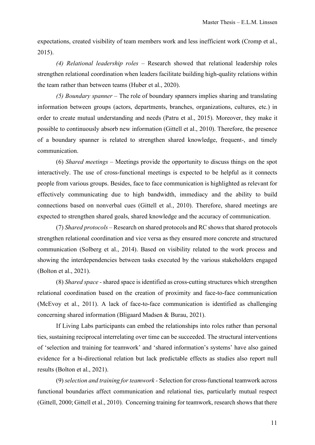expectations, created visibility of team members work and less inefficient work (Cromp et al., 2015).

*(4) Relational leadership roles –* Research showed that relational leadership roles strengthen relational coordination when leaders facilitate building high-quality relations within the team rather than between teams (Huber et al., 2020).

*(5) Boundary spanner –* The role of boundary spanners implies sharing and translating information between groups (actors, departments, branches, organizations, cultures, etc.) in order to create mutual understanding and needs (Patru et al., 2015). Moreover, they make it possible to continuously absorb new information (Gittell et al., 2010). Therefore, the presence of a boundary spanner is related to strengthen shared knowledge, frequent-, and timely communication.

(6) *Shared meetings –* Meetings provide the opportunity to discuss things on the spot interactively. The use of cross-functional meetings is expected to be helpful as it connects people from various groups. Besides, face to face communication is highlighted as relevant for effectively communicating due to high bandwidth, immediacy and the ability to build connections based on nonverbal cues (Gittell et al., 2010). Therefore, shared meetings are expected to strengthen shared goals, shared knowledge and the accuracy of communication.

(7) *Shared protocols –* Research on shared protocols and RC shows that shared protocols strengthen relational coordination and vice versa as they ensured more concrete and structured communication (Solberg et al., 2014). Based on visibility related to the work process and showing the interdependencies between tasks executed by the various stakeholders engaged (Bolton et al., 2021).

(8) *Shared space -* shared space is identified as cross-cutting structures which strengthen relational coordination based on the creation of proximity and face-to-face communication (McEvoy et al., 2011). A lack of face-to-face communication is identified as challenging concerning shared information (Bligaard Madsen & Burau, 2021).

If Living Labs participants can embed the relationships into roles rather than personal ties, sustaining reciprocal interrelating over time can be succeeded. The structural interventions of 'selection and training for teamwork' and 'shared information's systems' have also gained evidence for a bi-directional relation but lack predictable effects as studies also report null results (Bolton et al., 2021).

(9) *selection and training for teamwork -* Selection for cross-functional teamwork across functional boundaries affect communication and relational ties, particularly mutual respect (Gittell, 2000; Gittell et al., 2010). Concerning training for teamwork, research shows that there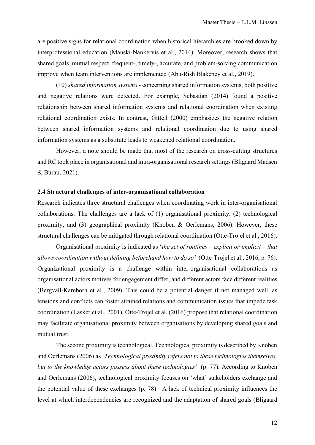are positive signs for relational coordination when historical hierarchies are brooked down by interprofessional education (Manski-Nankervis et al., 2014). Moreover, research shows that shared goals, mutual respect, frequent-, timely-, accurate, and problem-solving communication improve when team interventions are implemented (Abu-Rish Blakeney et al., 2019).

(10) *shared information systems -* concerning shared information systems, both positive and negative relations were detected. For example, Sebastian (2014) found a positive relationship between shared information systems and relational coordination when existing relational coordination exists. In contrast, Gittell (2000) emphasizes the negative relation between shared information systems and relational coordination due to using shared information systems as a substitute leads to weakened relational coordination.

However, a note should be made that most of the research on cross-cutting structures and RC took place in organisational and intra-organisational research settings (Bligaard Madsen & Burau, 2021).

#### <span id="page-11-0"></span>**2.4 Structural challenges of inter-organisational collaboration**

Research indicates three structural challenges when coordinating work in inter-organisational collaborations. The challenges are a lack of (1) organisational proximity, (2) technological proximity, and (3) geographical proximity (Knoben & Oerlemans, 2006). However, these structural challenges can be mitigated through relational coordination (Otte-Trojel et al., 2016).

Organisational proximity is indicated as '*the set of routines – explicit or implicit – that allows coordination without defining beforehand how to do so'* (Otte-Trojel et al., 2016, p. 76). Organizational proximity is a challenge within inter-organisational collaborations as organisational actors motives for engagement differ, and different actors face different realities (Bergvall-Kåreborn et al., 2009). This could be a potential danger if not managed well, as tensions and conflicts can foster strained relations and communication issues that impede task coordination (Lasker et al., 2001). Otte-Trojel et al. (2016) propose that relational coordination may facilitate organisational proximity between organisations by developing shared goals and mutual trust.

The second proximity is technological. Technological proximity is described by Knoben and Oerlemans (2006) as '*Technological proximity refers not to these technologies themselves, but to the knowledge actors possess about these technologies'* (p. 77). According to Knoben and Oerlemans (2006), technological proximity focuses on 'what' stakeholders exchange and the potential value of these exchanges (p. 78). A lack of technical proximity influences the level at which interdependencies are recognized and the adaptation of shared goals (Bligaard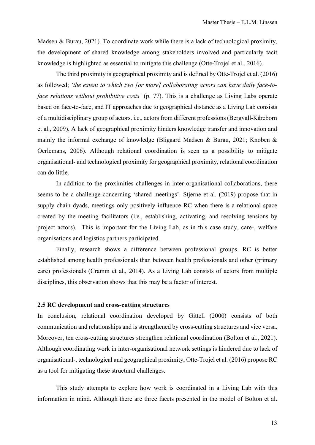Madsen & Burau, 2021). To coordinate work while there is a lack of technological proximity, the development of shared knowledge among stakeholders involved and particularly tacit knowledge is highlighted as essential to mitigate this challenge (Otte-Trojel et al., 2016).

The third proximity is geographical proximity and is defined by Otte-Trojel et al. (2016) as followed; *'the extent to which two [or more] collaborating actors can have daily face-toface relations without prohibitive costs'* (p. 77). This is a challenge as Living Labs operate based on face-to-face, and IT approaches due to geographical distance as a Living Lab consists of a multidisciplinary group of actors. i.e., actors from different professions (Bergvall-Kåreborn et al., 2009). A lack of geographical proximity hinders knowledge transfer and innovation and mainly the informal exchange of knowledge (Bligaard Madsen & Burau, 2021; Knoben & Oerlemans, 2006). Although relational coordination is seen as a possibility to mitigate organisational- and technological proximity for geographical proximity, relational coordination can do little.

In addition to the proximities challenges in inter-organisational collaborations, there seems to be a challenge concerning 'shared meetings'. Stjerne et al. (2019) propose that in supply chain dyads, meetings only positively influence RC when there is a relational space created by the meeting facilitators (i.e., establishing, activating, and resolving tensions by project actors). This is important for the Living Lab, as in this case study, care-, welfare organisations and logistics partners participated.

Finally, research shows a difference between professional groups. RC is better established among health professionals than between health professionals and other (primary care) professionals (Cramm et al., 2014). As a Living Lab consists of actors from multiple disciplines, this observation shows that this may be a factor of interest.

#### <span id="page-12-0"></span>**2.5 RC development and cross-cutting structures**

In conclusion, relational coordination developed by Gittell (2000) consists of both communication and relationships and is strengthened by cross-cutting structures and vice versa. Moreover, ten cross-cutting structures strengthen relational coordination (Bolton et al., 2021). Although coordinating work in inter-organisational network settings is hindered due to lack of organisational-, technological and geographical proximity, Otte-Trojel et al. (2016) propose RC as a tool for mitigating these structural challenges.

This study attempts to explore how work is coordinated in a Living Lab with this information in mind. Although there are three facets presented in the model of Bolton et al.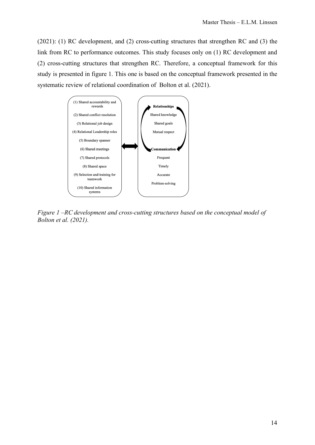(2021): (1) RC development, and (2) cross-cutting structures that strengthen RC and (3) the link from RC to performance outcomes. This study focuses only on (1) RC development and (2) cross-cutting structures that strengthen RC. Therefore, a conceptual framework for this study is presented in figure 1. This one is based on the conceptual framework presented in the systematic review of relational coordination of Bolton et al. (2021).



*Figure 1 –RC development and cross-cutting structures based on the conceptual model of Bolton et al. (2021).*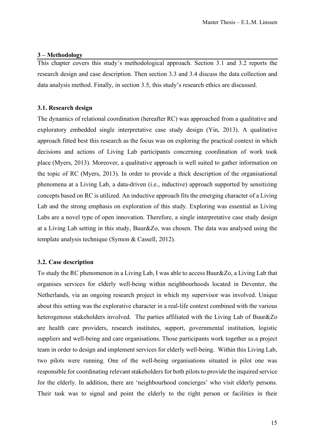## <span id="page-14-0"></span>**3 – Methodology**

This chapter covers this study's methodological approach. Section 3.1 and 3.2 reports the research design and case description. Then section 3.3 and 3.4 discuss the data collection and data analysis method. Finally, in section 3.5, this study's research ethics are discussed.

#### <span id="page-14-1"></span>**3.1. Research design**

The dynamics of relational coordination (hereafter RC) was approached from a qualitative and exploratory embedded single interpretative case study design (Yin, 2013). A qualitative approach fitted best this research as the focus was on exploring the practical context in which decisions and actions of Living Lab participants concerning coordination of work took place (Myers, 2013). Moreover, a qualitative approach is well suited to gather information on the topic of RC (Myers, 2013). In order to provide a thick description of the organisational phenomena at a Living Lab, a data-driven (i.e., inductive) approach supported by sensitizing concepts based on RC is utilized. An inductive approach fits the emerging character of a Living Lab and the strong emphasis on exploration of this study. Exploring was essential as Living Labs are a novel type of open innovation. Therefore, a single interpretative case study design at a Living Lab setting in this study, Buur&Zo, was chosen. The data was analysed using the template analysis technique (Symon & Cassell, 2012).

## <span id="page-14-2"></span>**3.2. Case description**

To study the RC phenomenon in a Living Lab, I was able to access Buur&Zo, a Living Lab that organises services for elderly well-being within neighbourhoods located in Deventer, the Netherlands, via an ongoing research project in which my supervisor was involved. Unique about this setting was the explorative character in a real-life context combined with the various heterogenous stakeholders involved. The parties affiliated with the Living Lab of Buur&Zo are health care providers, research institutes, support, governmental institution, logistic suppliers and well-being and care organisations. Those participants work together as a project team in order to design and implement services for elderly well-being. Within this Living Lab, two pilots were running. One of the well-being organisations situated in pilot one was responsible for coordinating relevant stakeholders for both pilots to provide the inquired service for the elderly. In addition, there are 'neighbourhood concierges' who visit elderly persons. Their task was to signal and point the elderly to the right person or facilities in their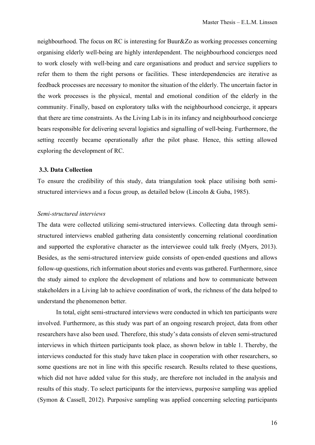neighbourhood. The focus on RC is interesting for Buur&Zo as working processes concerning organising elderly well-being are highly interdependent. The neighbourhood concierges need to work closely with well-being and care organisations and product and service suppliers to refer them to them the right persons or facilities. These interdependencies are iterative as feedback processes are necessary to monitor the situation of the elderly. The uncertain factor in the work processes is the physical, mental and emotional condition of the elderly in the community. Finally, based on exploratory talks with the neighbourhood concierge, it appears that there are time constraints. As the Living Lab is in its infancy and neighbourhood concierge bears responsible for delivering several logistics and signalling of well-being. Furthermore, the setting recently became operationally after the pilot phase. Hence, this setting allowed exploring the development of RC.

## <span id="page-15-0"></span>**3.3. Data Collection**

To ensure the credibility of this study, data triangulation took place utilising both semistructured interviews and a focus group, as detailed below (Lincoln & Guba, 1985).

## *Semi-structured interviews*

The data were collected utilizing semi-structured interviews. Collecting data through semistructured interviews enabled gathering data consistently concerning relational coordination and supported the explorative character as the interviewee could talk freely (Myers, 2013). Besides, as the semi-structured interview guide consists of open-ended questions and allows follow-up questions, rich information about stories and events was gathered. Furthermore, since the study aimed to explore the development of relations and how to communicate between stakeholders in a Living lab to achieve coordination of work, the richness of the data helped to understand the phenomenon better.

In total, eight semi-structured interviews were conducted in which ten participants were involved. Furthermore, as this study was part of an ongoing research project, data from other researchers have also been used. Therefore, this study's data consists of eleven semi-structured interviews in which thirteen participants took place, as shown below in table 1. Thereby, the interviews conducted for this study have taken place in cooperation with other researchers, so some questions are not in line with this specific research. Results related to these questions, which did not have added value for this study, are therefore not included in the analysis and results of this study. To select participants for the interviews, purposive sampling was applied (Symon & Cassell, 2012). Purposive sampling was applied concerning selecting participants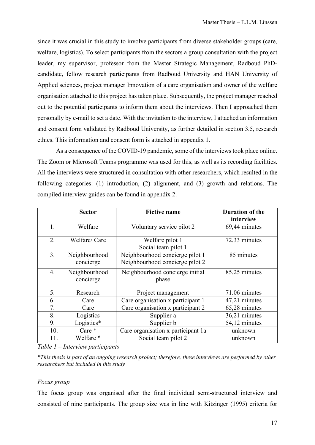since it was crucial in this study to involve participants from diverse stakeholder groups (care, welfare, logistics). To select participants from the sectors a group consultation with the project leader, my supervisor, professor from the Master Strategic Management, Radboud PhDcandidate, fellow research participants from Radboud University and HAN University of Applied sciences, project manager Innovation of a care organisation and owner of the welfare organisation attached to this project has taken place. Subsequently, the project manager reached out to the potential participants to inform them about the interviews. Then I approached them personally by e-mail to set a date. With the invitation to the interview, I attached an information and consent form validated by Radboud University, as further detailed in section 3.5, research ethics. This information and consent form is attached in appendix 1.

As a consequence of the COVID-19 pandemic, some of the interviews took place online. The Zoom or Microsoft Teams programme was used for this, as well as its recording facilities. All the interviews were structured in consultation with other researchers, which resulted in the following categories: (1) introduction, (2) alignment, and (3) growth and relations. The compiled interview guides can be found in appendix 2.

|                  | <b>Sector</b>              | <b>Fictive name</b>                                                | <b>Duration of the</b><br>interview |
|------------------|----------------------------|--------------------------------------------------------------------|-------------------------------------|
| 1.               | Welfare                    | Voluntary service pilot 2                                          | 69,44 minutes                       |
| 2.               | Welfare/Care               | Welfare pilot 1<br>Social team pilot 1                             | 72,33 minutes                       |
| 3.               | Neighbourhood<br>concierge | Neighbourhood concierge pilot 1<br>Neighbourhood concierge pilot 2 | 85 minutes                          |
| $\overline{4}$ . | Neighbourhood<br>concierge | Neighbourhood concierge initial<br>phase                           | 85,25 minutes                       |
| 5.               | Research                   | Project management                                                 | 71.06 minutes                       |
| 6.               | Care                       | Care organisation x participant 1                                  | 47,21 minutes                       |
| 7.               | Care                       | Care organisation x participant 2                                  | 65,28 minutes                       |
| 8.               | Logistics                  | Supplier a                                                         | 36,21 minutes                       |
| 9.               | Logistics*                 | Supplier b                                                         | 54,12 minutes                       |
| 10.              | Care *                     | Care organisation x participant 1a                                 | unknown                             |
| 11.              | Welfare *                  | Social team pilot 2                                                | unknown                             |

*Table 1 – Interview participants*

*\*This thesis is part of an ongoing research project; therefore, these interviews are performed by other researchers but included in this study* 

## *Focus group*

The focus group was organised after the final individual semi-structured interview and consisted of nine participants. The group size was in line with Kitzinger (1995) criteria for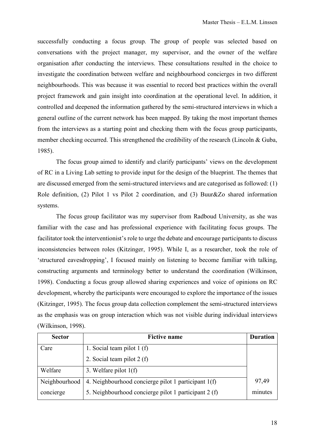successfully conducting a focus group. The group of people was selected based on conversations with the project manager, my supervisor, and the owner of the welfare organisation after conducting the interviews. These consultations resulted in the choice to investigate the coordination between welfare and neighbourhood concierges in two different neighbourhoods. This was because it was essential to record best practices within the overall project framework and gain insight into coordination at the operational level. In addition, it controlled and deepened the information gathered by the semi-structured interviews in which a general outline of the current network has been mapped. By taking the most important themes from the interviews as a starting point and checking them with the focus group participants, member checking occurred. This strengthened the credibility of the research (Lincoln & Guba, 1985).

The focus group aimed to identify and clarify participants' views on the development of RC in a Living Lab setting to provide input for the design of the blueprint. The themes that are discussed emerged from the semi-structured interviews and are categorised as followed: (1) Role definition, (2) Pilot 1 vs Pilot 2 coordination, and (3) Buur&Zo shared information systems.

The focus group facilitator was my supervisor from Radboud University, as she was familiar with the case and has professional experience with facilitating focus groups. The facilitator took the interventionist's role to urge the debate and encourage participants to discuss inconsistencies between roles (Kitzinger, 1995). While I, as a researcher, took the role of 'structured eavesdropping', I focused mainly on listening to become familiar with talking, constructing arguments and terminology better to understand the coordination (Wilkinson, 1998). Conducting a focus group allowed sharing experiences and voice of opinions on RC development, whereby the participants were encouraged to explore the importance of the issues (Kitzinger, 1995). The focus group data collection complement the semi-structured interviews as the emphasis was on group interaction which was not visible during individual interviews (Wilkinson, 1998).

| <b>Sector</b> | <b>Fictive name</b>                                  | <b>Duration</b> |
|---------------|------------------------------------------------------|-----------------|
| Care          | 1. Social team pilot $1(f)$                          |                 |
|               | 2. Social team pilot $2(f)$                          |                 |
| Welfare       | 3. Welfare pilot $1(f)$                              |                 |
| Neighbourhood | 4. Neighbourhood concierge pilot 1 participant 1(f)  | 97,49           |
| concierge     | 5. Neighbourhood concierge pilot 1 participant 2 (f) | minutes         |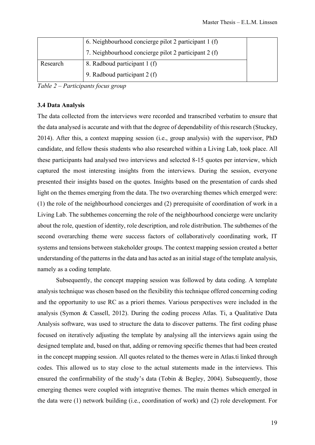|          | 6. Neighbourhood concierge pilot 2 participant 1 (f) |  |
|----------|------------------------------------------------------|--|
|          | 7. Neighbourhood concierge pilot 2 participant 2 (f) |  |
| Research | 8. Radboud participant 1 (f)                         |  |
|          | 9. Radboud participant 2 (f)                         |  |

*Table 2 – Participants focus group*

#### <span id="page-18-0"></span>**3.4 Data Analysis**

The data collected from the interviews were recorded and transcribed verbatim to ensure that the data analysed is accurate and with that the degree of dependability of this research (Stuckey, 2014). After this, a context mapping session (i.e., group analysis) with the supervisor, PhD candidate, and fellow thesis students who also researched within a Living Lab, took place. All these participants had analysed two interviews and selected 8-15 quotes per interview, which captured the most interesting insights from the interviews. During the session, everyone presented their insights based on the quotes. Insights based on the presentation of cards shed light on the themes emerging from the data. The two overarching themes which emerged were: (1) the role of the neighbourhood concierges and (2) prerequisite of coordination of work in a Living Lab. The subthemes concerning the role of the neighbourhood concierge were unclarity about the role, question of identity, role description, and role distribution. The subthemes of the second overarching theme were success factors of collaboratively coordinating work, IT systems and tensions between stakeholder groups. The context mapping session created a better understanding of the patterns in the data and has acted as an initial stage of the template analysis, namely as a coding template.

Subsequently, the concept mapping session was followed by data coding. A template analysis technique was chosen based on the flexibility this technique offered concerning coding and the opportunity to use RC as a priori themes. Various perspectives were included in the analysis (Symon & Cassell, 2012). During the coding process Atlas. Ti, a Qualitative Data Analysis software, was used to structure the data to discover patterns. The first coding phase focused on iteratively adjusting the template by analysing all the interviews again using the designed template and, based on that, adding or removing specific themes that had been created in the concept mapping session. All quotes related to the themes were in Atlas.ti linked through codes. This allowed us to stay close to the actual statements made in the interviews. This ensured the confirmability of the study's data (Tobin & Begley, 2004). Subsequently, those emerging themes were coupled with integrative themes. The main themes which emerged in the data were (1) network building (i.e., coordination of work) and (2) role development. For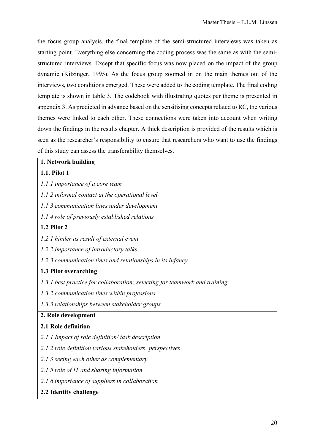the focus group analysis, the final template of the semi-structured interviews was taken as starting point. Everything else concerning the coding process was the same as with the semistructured interviews. Except that specific focus was now placed on the impact of the group dynamic (Kitzinger, 1995). As the focus group zoomed in on the main themes out of the interviews, two conditions emerged. These were added to the coding template. The final coding template is shown in table 3. The codebook with illustrating quotes per theme is presented in appendix 3. As predicted in advance based on the sensitising concepts related to RC, the various themes were linked to each other. These connections were taken into account when writing down the findings in the results chapter. A thick description is provided of the results which is seen as the researcher's responsibility to ensure that researchers who want to use the findings of this study can assess the transferability themselves.

## **1. Network building**

## **1.1. Pilot 1**

- *1.1.1 importance of a core team*
- *1.1.2 informal contact at the operational level*
- *1.1.3 communication lines under development*
- *1.1.4 role of previously established relations*

## **1.2 Pilot 2**

- *1.2.1 hinder as result of external event*
- *1.2.2 importance of introductory talks*
- *1.2.3 communication lines and relationships in its infancy*

## **1.3 Pilot overarching**

- *1.3.1 best practice for collaboration; selecting for teamwork and training*
- *1.3.2 communication lines within professions*
- *1.3.3 relationships between stakeholder groups*

## **2. Role development**

#### **2.1 Role definition**

- *2.1.1 Impact of role definition/ task description*
- *2.1.2 role definition various stakeholders' perspectives*
- *2.1.3 seeing each other as complementary*
- *2.1.5 role of IT and sharing information*
- *2.1.6 importance of suppliers in collaboration*
- **2.2 Identity challenge**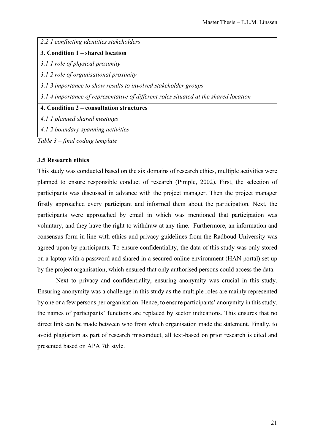### *2.2.1 conflicting identities stakeholders*

#### **3. Condition 1 – shared location**

*3.1.1 role of physical proximity* 

*3.1.2 role of organisational proximity* 

*3.1.3 importance to show results to involved stakeholder groups*

*3.1.4 importance of representative of different roles situated at the shared location*

**4. Condition 2 – consultation structures** 

*4.1.1 planned shared meetings*

*4.1.2 boundary-spanning activities*

*Table 3 – final coding template* 

## <span id="page-20-0"></span>**3.5 Research ethics**

This study was conducted based on the six domains of research ethics, multiple activities were planned to ensure responsible conduct of research (Pimple, 2002). First, the selection of participants was discussed in advance with the project manager. Then the project manager firstly approached every participant and informed them about the participation. Next, the participants were approached by email in which was mentioned that participation was voluntary, and they have the right to withdraw at any time. Furthermore, an information and consensus form in line with ethics and privacy guidelines from the Radboud University was agreed upon by participants. To ensure confidentiality, the data of this study was only stored on a laptop with a password and shared in a secured online environment (HAN portal) set up by the project organisation, which ensured that only authorised persons could access the data.

Next to privacy and confidentiality, ensuring anonymity was crucial in this study. Ensuring anonymity was a challenge in this study as the multiple roles are mainly represented by one or a few persons per organisation. Hence, to ensure participants' anonymity in this study, the names of participants' functions are replaced by sector indications. This ensures that no direct link can be made between who from which organisation made the statement. Finally, to avoid plagiarism as part of research misconduct, all text-based on prior research is cited and presented based on APA 7th style.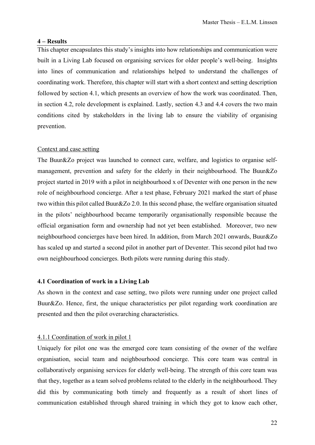#### <span id="page-21-0"></span>**4 – Results**

This chapter encapsulates this study's insights into how relationships and communication were built in a Living Lab focused on organising services for older people's well-being. Insights into lines of communication and relationships helped to understand the challenges of coordinating work. Therefore, this chapter will start with a short context and setting description followed by section 4.1, which presents an overview of how the work was coordinated. Then, in section 4.2, role development is explained. Lastly, section 4.3 and 4.4 covers the two main conditions cited by stakeholders in the living lab to ensure the viability of organising prevention.

#### <span id="page-21-1"></span>Context and case setting

The Buur&Zo project was launched to connect care, welfare, and logistics to organise selfmanagement, prevention and safety for the elderly in their neighbourhood. The Buur&Zo project started in 2019 with a pilot in neighbourhood x of Deventer with one person in the new role of neighbourhood concierge. After a test phase, February 2021 marked the start of phase two within this pilot called Buur&Zo 2.0. In this second phase, the welfare organisation situated in the pilots' neighbourhood became temporarily organisationally responsible because the official organisation form and ownership had not yet been established. Moreover, two new neighbourhood concierges have been hired. In addition, from March 2021 onwards, Buur&Zo has scaled up and started a second pilot in another part of Deventer. This second pilot had two own neighbourhood concierges. Both pilots were running during this study.

#### <span id="page-21-2"></span>**4.1 Coordination of work in a Living Lab**

As shown in the context and case setting, two pilots were running under one project called Buur&Zo. Hence, first, the unique characteristics per pilot regarding work coordination are presented and then the pilot overarching characteristics.

#### <span id="page-21-3"></span>4.1.1 Coordination of work in pilot 1

Uniquely for pilot one was the emerged core team consisting of the owner of the welfare organisation, social team and neighbourhood concierge. This core team was central in collaboratively organising services for elderly well-being. The strength of this core team was that they, together as a team solved problems related to the elderly in the neighbourhood. They did this by communicating both timely and frequently as a result of short lines of communication established through shared training in which they got to know each other,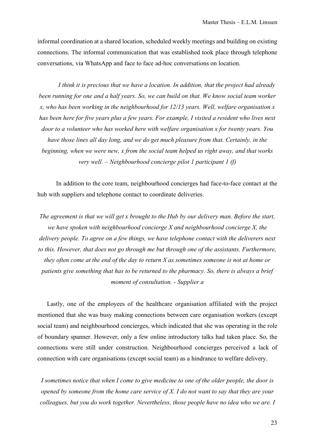informal coordination at a shared location, scheduled weekly meetings and building on existing connections. The informal communication that was established took place through telephone conversations, via WhatsApp and face to face ad-hoc conversations on location.

*I think it is precious that we have a location. In addition, that the project had already been running for one and a half years. So, we can build on that. We know social team worker x, who has been working in the neighbourhood for 12/13 years. Well, welfare organisation x has been here for five years plus a few years. For example, I visited a resident who lives next door to a volunteer who has worked here with welfare organisation x for twenty years. You have those lines all day long, and we do get much pleasure from that. Certainly, in the beginning, when we were new, x from the social team helped us right away, and that works very well. – Neighbourhood concierge pilot 1 participant 1 (f)*

In addition to the core team, neighbourhood concierges had face-to-face contact at the hub with suppliers and telephone contact to coordinate deliveries.

*The agreement is that we will get x brought to the Hub by our delivery man. Before the start, we have spoken with neighbourhood concierge X and neighbourhood concierge X, the delivery people. To agree on a few things, we have telephone contact with the deliverers next to this. However, that does not go through me but through one of the assistants. Furthermore, they often come at the end of the day to return X as sometimes someone is not at home or patients give something that has to be returned to the pharmacy. So, there is always a brief moment of consultation. - Supplier a*

Lastly, one of the employees of the healthcare organisation affiliated with the project mentioned that she was busy making connections between care organisation workers (except social team) and neighbourhood concierges, which indicated that she was operating in the role of boundary spanner. However, only a few online introductory talks had taken place. So, the connections were still under construction. Neighbourhood concierges perceived a lack of connection with care organisations (except social team) as a hindrance to welfare delivery.

*I sometimes notice that when I come to give medicine to one of the older people, the door is opened by someone from the home care service of X. I do not want to say that they are your colleagues, but you do work together. Nevertheless, those people have no idea who we are. I*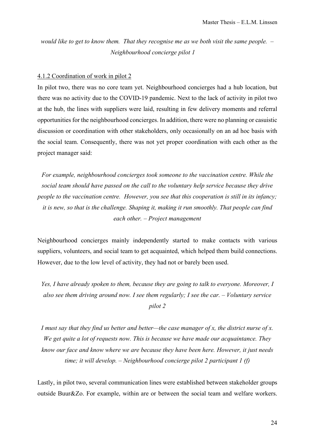*would like to get to know them. That they recognise me as we both visit the same people. – Neighbourhood concierge pilot 1*

#### <span id="page-23-0"></span>4.1.2 Coordination of work in pilot 2

In pilot two, there was no core team yet. Neighbourhood concierges had a hub location, but there was no activity due to the COVID-19 pandemic. Next to the lack of activity in pilot two at the hub, the lines with suppliers were laid, resulting in few delivery moments and referral opportunities for the neighbourhood concierges. In addition, there were no planning or casuistic discussion or coordination with other stakeholders, only occasionally on an ad hoc basis with the social team. Consequently, there was not yet proper coordination with each other as the project manager said:

*For example, neighbourhood concierges took someone to the vaccination centre. While the social team should have passed on the call to the voluntary help service because they drive people to the vaccination centre. However, you see that this cooperation is still in its infancy; it is new, so that is the challenge. Shaping it, making it run smoothly. That people can find each other. – Project management*

Neighbourhood concierges mainly independently started to make contacts with various suppliers, volunteers, and social team to get acquainted, which helped them build connections. However, due to the low level of activity, they had not or barely been used.

*Yes, I have already spoken to them, because they are going to talk to everyone. Moreover, I also see them driving around now. I see them regularly; I see the car. – Voluntary service pilot 2*

*I must say that they find us better and better—the case manager of x, the district nurse of x. We get quite a lot of requests now. This is because we have made our acquaintance. They know our face and know where we are because they have been here. However, it just needs time; it will develop. – Neighbourhood concierge pilot 2 participant 1 (f)*

Lastly, in pilot two, several communication lines were established between stakeholder groups outside Buur&Zo. For example, within are or between the social team and welfare workers.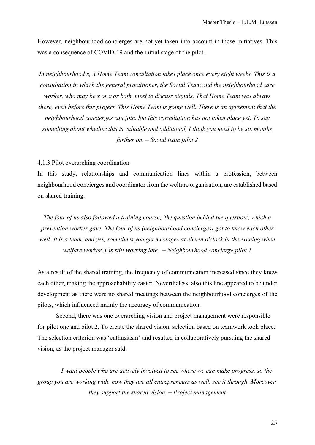However, neighbourhood concierges are not yet taken into account in those initiatives. This was a consequence of COVID-19 and the initial stage of the pilot.

*In neighbourhood x, a Home Team consultation takes place once every eight weeks. This is a consultation in which the general practitioner, the Social Team and the neighbourhood care worker, who may be x or x or both, meet to discuss signals. That Home Team was always there, even before this project. This Home Team is going well. There is an agreement that the neighbourhood concierges can join, but this consultation has not taken place yet. To say something about whether this is valuable and additional, I think you need to be six months further on. – Social team pilot 2*

#### <span id="page-24-0"></span>4.1.3 Pilot overarching coordination

In this study, relationships and communication lines within a profession, between neighbourhood concierges and coordinator from the welfare organisation, are established based on shared training.

*The four of us also followed a training course, 'the question behind the question', which a prevention worker gave. The four of us (neighbourhood concierges) got to know each other well. It is a team, and yes, sometimes you get messages at eleven o'clock in the evening when welfare worker X is still working late. – Neighbourhood concierge pilot 1* 

As a result of the shared training, the frequency of communication increased since they knew each other, making the approachability easier. Nevertheless, also this line appeared to be under development as there were no shared meetings between the neighbourhood concierges of the pilots, which influenced mainly the accuracy of communication.

Second, there was one overarching vision and project management were responsible for pilot one and pilot 2. To create the shared vision, selection based on teamwork took place. The selection criterion was 'enthusiasm' and resulted in collaboratively pursuing the shared vision, as the project manager said:

*I want people who are actively involved to see where we can make progress, so the group you are working with, now they are all entrepreneurs as well, see it through. Moreover, they support the shared vision. – Project management*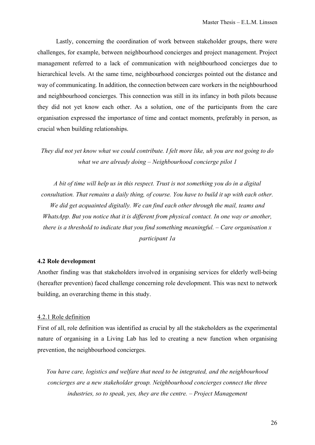Lastly, concerning the coordination of work between stakeholder groups, there were challenges, for example, between neighbourhood concierges and project management. Project management referred to a lack of communication with neighbourhood concierges due to hierarchical levels. At the same time, neighbourhood concierges pointed out the distance and way of communicating. In addition, the connection between care workers in the neighbourhood and neighbourhood concierges. This connection was still in its infancy in both pilots because they did not yet know each other. As a solution, one of the participants from the care organisation expressed the importance of time and contact moments, preferably in person, as crucial when building relationships.

*They did not yet know what we could contribute. I felt more like, uh you are not going to do what we are already doing – Neighbourhood concierge pilot 1*

*A bit of time will help us in this respect. Trust is not something you do in a digital consultation. That remains a daily thing, of course. You have to build it up with each other. We did get acquainted digitally. We can find each other through the mail, teams and WhatsApp. But you notice that it is different from physical contact. In one way or another, there is a threshold to indicate that you find something meaningful. – Care organisation x participant 1a*

#### <span id="page-25-0"></span>**4.2 Role development**

Another finding was that stakeholders involved in organising services for elderly well-being (hereafter prevention) faced challenge concerning role development. This was next to network building, an overarching theme in this study.

#### <span id="page-25-1"></span>4.2.1 Role definition

First of all, role definition was identified as crucial by all the stakeholders as the experimental nature of organising in a Living Lab has led to creating a new function when organising prevention, the neighbourhood concierges.

*You have care, logistics and welfare that need to be integrated, and the neighbourhood concierges are a new stakeholder group. Neighbourhood concierges connect the three industries, so to speak, yes, they are the centre. – Project Management*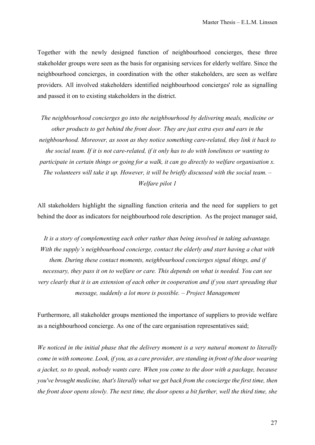Together with the newly designed function of neighbourhood concierges, these three stakeholder groups were seen as the basis for organising services for elderly welfare. Since the neighbourhood concierges, in coordination with the other stakeholders, are seen as welfare providers. All involved stakeholders identified neighbourhood concierges' role as signalling and passed it on to existing stakeholders in the district.

*The neighbourhood concierges go into the neighbourhood by delivering meals, medicine or other products to get behind the front door. They are just extra eyes and ears in the neighbourhood. Moreover, as soon as they notice something care-related, they link it back to the social team. If it is not care-related, if it only has to do with loneliness or wanting to participate in certain things or going for a walk, it can go directly to welfare organisation x. The volunteers will take it up. However, it will be briefly discussed with the social team. – Welfare pilot 1* 

All stakeholders highlight the signalling function criteria and the need for suppliers to get behind the door as indicators for neighbourhood role description. As the project manager said,

*It is a story of complementing each other rather than being involved in taking advantage. With the supply's neighbourhood concierge, contact the elderly and start having a chat with them. During these contact moments, neighbourhood concierges signal things, and if necessary, they pass it on to welfare or care. This depends on what is needed. You can see very clearly that it is an extension of each other in cooperation and if you start spreading that message, suddenly a lot more is possible. – Project Management*

Furthermore, all stakeholder groups mentioned the importance of suppliers to provide welfare as a neighbourhood concierge. As one of the care organisation representatives said;

*We noticed in the initial phase that the delivery moment is a very natural moment to literally come in with someone. Look, if you, as a care provider, are standing in front of the door wearing a jacket, so to speak, nobody wants care. When you come to the door with a package, because you've brought medicine, that's literally what we get back from the concierge the first time, then the front door opens slowly. The next time, the door opens a bit further, well the third time, she*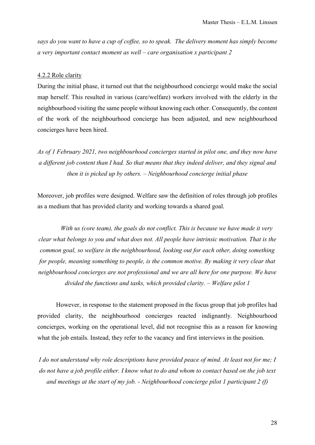*says do you want to have a cup of coffee, so to speak. The delivery moment has simply become a very important contact moment as well – care organisation x participant 2* 

#### <span id="page-27-0"></span>4.2.2 Role clarity

During the initial phase, it turned out that the neighbourhood concierge would make the social map herself. This resulted in various (care/welfare) workers involved with the elderly in the neighbourhood visiting the same people without knowing each other. Consequently, the content of the work of the neighbourhood concierge has been adjusted, and new neighbourhood concierges have been hired.

*As of 1 February 2021, two neighbourhood concierges started in pilot one, and they now have a different job content than I had. So that means that they indeed deliver, and they signal and then it is picked up by others. – Neighbourhood concierge initial phase* 

Moreover, job profiles were designed. Welfare saw the definition of roles through job profiles as a medium that has provided clarity and working towards a shared goal.

*With us (core team), the goals do not conflict. This is because we have made it very clear what belongs to you and what does not. All people have intrinsic motivation. That is the common goal, so welfare in the neighbourhood, looking out for each other, doing something for people, meaning something to people, is the common motive. By making it very clear that neighbourhood concierges are not professional and we are all here for one purpose. We have divided the functions and tasks, which provided clarity. – Welfare pilot 1* 

However, in response to the statement proposed in the focus group that job profiles had provided clarity, the neighbourhood concierges reacted indignantly. Neighbourhood concierges, working on the operational level, did not recognise this as a reason for knowing what the job entails. Instead, they refer to the vacancy and first interviews in the position.

*I do not understand why role descriptions have provided peace of mind. At least not for me; I do not have a job profile either. I know what to do and whom to contact based on the job text and meetings at the start of my job. - Neighbourhood concierge pilot 1 participant 2 (f)*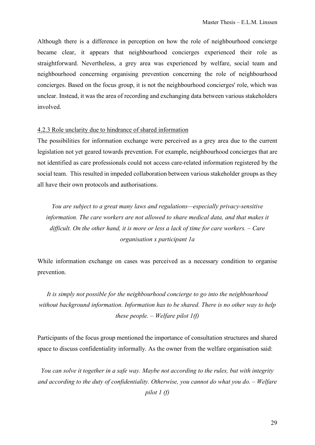Although there is a difference in perception on how the role of neighbourhood concierge became clear, it appears that neighbourhood concierges experienced their role as straightforward. Nevertheless, a grey area was experienced by welfare, social team and neighbourhood concerning organising prevention concerning the role of neighbourhood concierges. Based on the focus group, it is not the neighbourhood concierges' role, which was unclear. Instead, it was the area of recording and exchanging data between various stakeholders involved.

## <span id="page-28-0"></span>4.2.3 Role unclarity due to hindrance of shared information

The possibilities for information exchange were perceived as a grey area due to the current legislation not yet geared towards prevention. For example, neighbourhood concierges that are not identified as care professionals could not access care-related information registered by the social team. This resulted in impeded collaboration between various stakeholder groups as they all have their own protocols and authorisations.

*You are subject to a great many laws and regulations—especially privacy-sensitive information. The care workers are not allowed to share medical data, and that makes it difficult. On the other hand, it is more or less a lack of time for care workers. – Care organisation x participant 1a*

While information exchange on cases was perceived as a necessary condition to organise prevention.

*It is simply not possible for the neighbourhood concierge to go into the neighbourhood without background information. Information has to be shared. There is no other way to help these people. – Welfare pilot 1(f)*

Participants of the focus group mentioned the importance of consultation structures and shared space to discuss confidentiality informally. As the owner from the welfare organisation said:

*You can solve it together in a safe way. Maybe not according to the rules, but with integrity and according to the duty of confidentiality. Otherwise, you cannot do what you do. – Welfare pilot 1 (f)*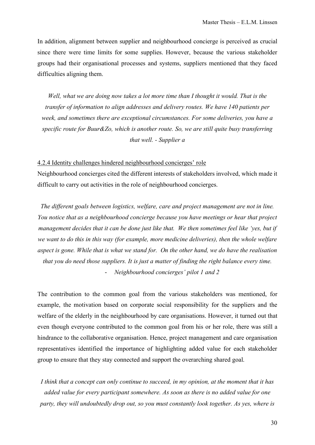In addition, alignment between supplier and neighbourhood concierge is perceived as crucial since there were time limits for some supplies. However, because the various stakeholder groups had their organisational processes and systems, suppliers mentioned that they faced difficulties aligning them.

*Well, what we are doing now takes a lot more time than I thought it would. That is the transfer of information to align addresses and delivery routes. We have 140 patients per week, and sometimes there are exceptional circumstances. For some deliveries, you have a specific route for Buur&Zo, which is another route. So, we are still quite busy transferring that well. - Supplier a*

#### <span id="page-29-0"></span>4.2.4 Identity challenges hindered neighbourhood concierges' role

Neighbourhood concierges cited the different interests of stakeholders involved, which made it difficult to carry out activities in the role of neighbourhood concierges.

*The different goals between logistics, welfare, care and project management are not in line. You notice that as a neighbourhood concierge because you have meetings or hear that project management decides that it can be done just like that. We then sometimes feel like 'yes, but if we want to do this in this way (for example, more medicine deliveries), then the whole welfare aspect is gone. While that is what we stand for. On the other hand, we do have the realisation that you do need those suppliers. It is just a matter of finding the right balance every time.*

- *Neighbourhood concierges' pilot 1 and 2*

The contribution to the common goal from the various stakeholders was mentioned, for example, the motivation based on corporate social responsibility for the suppliers and the welfare of the elderly in the neighbourhood by care organisations. However, it turned out that even though everyone contributed to the common goal from his or her role, there was still a hindrance to the collaborative organisation. Hence, project management and care organisation representatives identified the importance of highlighting added value for each stakeholder group to ensure that they stay connected and support the overarching shared goal.

*I think that a concept can only continue to succeed, in my opinion, at the moment that it has added value for every participant somewhere. As soon as there is no added value for one party, they will undoubtedly drop out, so you must constantly look together. As yes, where is*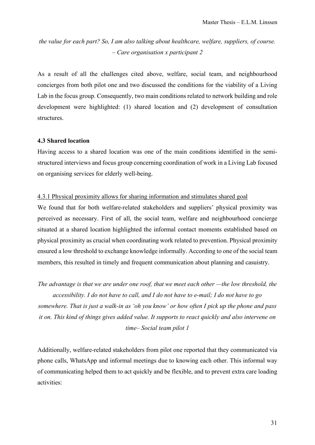# *the value for each part? So, I am also talking about healthcare, welfare, suppliers, of course. – Care organisation x participant 2*

As a result of all the challenges cited above, welfare, social team, and neighbourhood concierges from both pilot one and two discussed the conditions for the viability of a Living Lab in the focus group. Consequently, two main conditions related to network building and role development were highlighted: (1) shared location and (2) development of consultation structures.

### <span id="page-30-0"></span>**4.3 Shared location**

Having access to a shared location was one of the main conditions identified in the semistructured interviews and focus group concerning coordination of work in a Living Lab focused on organising services for elderly well-being.

## <span id="page-30-1"></span>4.3.1 Physical proximity allows for sharing information and stimulates shared goal

We found that for both welfare-related stakeholders and suppliers' physical proximity was perceived as necessary. First of all, the social team, welfare and neighbourhood concierge situated at a shared location highlighted the informal contact moments established based on physical proximity as crucial when coordinating work related to prevention. Physical proximity ensured a low threshold to exchange knowledge informally. According to one of the social team members, this resulted in timely and frequent communication about planning and casuistry.

*The advantage is that we are under one roof, that we meet each other —the low threshold, the* 

*accessibility. I do not have to call, and I do not have to e-mail; I do not have to go somewhere. That is just a walk-in as 'oh you know' or how often I pick up the phone and pass it on. This kind of things gives added value. It supports to react quickly and also intervene on time– Social team pilot 1*

Additionally, welfare-related stakeholders from pilot one reported that they communicated via phone calls, WhatsApp and informal meetings due to knowing each other. This informal way of communicating helped them to act quickly and be flexible, and to prevent extra care loading activities: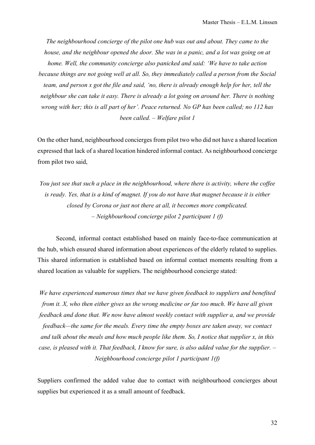*The neighbourhood concierge of the pilot one hub was out and about. They came to the house, and the neighbour opened the door. She was in a panic, and a lot was going on at home. Well, the community concierge also panicked and said: 'We have to take action because things are not going well at all. So, they immediately called a person from the Social team, and person x got the file and said, 'no, there is already enough help for her, tell the neighbour she can take it easy. There is already a lot going on around her. There is nothing wrong with her; this is all part of her'. Peace returned. No GP has been called; no 112 has been called. – Welfare pilot 1*

On the other hand, neighbourhood concierges from pilot two who did not have a shared location expressed that lack of a shared location hindered informal contact. As neighbourhood concierge from pilot two said,

*You just see that such a place in the neighbourhood, where there is activity, where the coffee is ready. Yes, that is a kind of magnet. If you do not have that magnet because it is either closed by Corona or just not there at all, it becomes more complicated. – Neighbourhood concierge pilot 2 participant 1 (f)*

Second, informal contact established based on mainly face-to-face communication at the hub, which ensured shared information about experiences of the elderly related to supplies. This shared information is established based on informal contact moments resulting from a shared location as valuable for suppliers. The neighbourhood concierge stated:

*We have experienced numerous times that we have given feedback to suppliers and benefited from it. X, who then either gives us the wrong medicine or far too much. We have all given feedback and done that. We now have almost weekly contact with supplier a, and we provide feedback—the same for the meals. Every time the empty boxes are taken away, we contact and talk about the meals and how much people like them. So, I notice that supplier x, in this case, is pleased with it. That feedback, I know for sure, is also added value for the supplier. – Neighbourhood concierge pilot 1 participant 1(f)*

Suppliers confirmed the added value due to contact with neighbourhood concierges about supplies but experienced it as a small amount of feedback.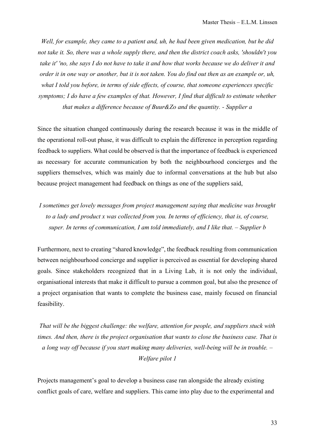*Well, for example, they came to a patient and, uh, he had been given medication, but he did not take it. So, there was a whole supply there, and then the district coach asks, 'shouldn't you take it' 'no, she says I do not have to take it and how that works because we do deliver it and order it in one way or another, but it is not taken. You do find out then as an example or, uh, what I told you before, in terms of side effects, of course, that someone experiences specific symptoms; I do have a few examples of that. However, I find that difficult to estimate whether that makes a difference because of Buur&Zo and the quantity. - Supplier a*

Since the situation changed continuously during the research because it was in the middle of the operational roll-out phase, it was difficult to explain the difference in perception regarding feedback to suppliers. What could be observed is that the importance of feedback is experienced as necessary for accurate communication by both the neighbourhood concierges and the suppliers themselves, which was mainly due to informal conversations at the hub but also because project management had feedback on things as one of the suppliers said,

*I sometimes get lovely messages from project management saying that medicine was brought to a lady and product x was collected from you. In terms of efficiency, that is, of course, super. In terms of communication, I am told immediately, and I like that. – Supplier b*

Furthermore, next to creating "shared knowledge", the feedback resulting from communication between neighbourhood concierge and supplier is perceived as essential for developing shared goals. Since stakeholders recognized that in a Living Lab, it is not only the individual, organisational interests that make it difficult to pursue a common goal, but also the presence of a project organisation that wants to complete the business case, mainly focused on financial feasibility.

*That will be the biggest challenge: the welfare, attention for people, and suppliers stuck with times. And then, there is the project organisation that wants to close the business case. That is a long way off because if you start making many deliveries, well-being will be in trouble. – Welfare pilot 1*

Projects management's goal to develop a business case ran alongside the already existing conflict goals of care, welfare and suppliers. This came into play due to the experimental and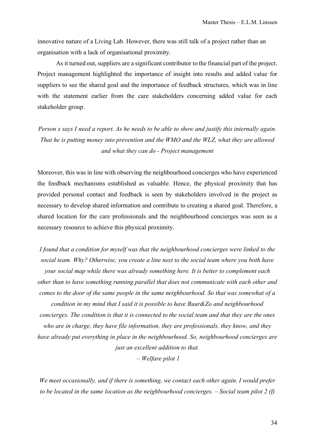innovative nature of a Living Lab. However, there was still talk of a project rather than an organisation with a lack of organisational proximity.

As it turned out, suppliers are a significant contributor to the financial part of the project. Project management highlighted the importance of insight into results and added value for suppliers to see the shared goal and the importance of feedback structures, which was in line with the statement earlier from the care stakeholders concerning added value for each stakeholder group.

*Person x says I need a report. As he needs to be able to show and justify this internally again. That he is putting money into prevention and the WMO and the WLZ, what they are allowed and what they can do - Project management*

Moreover, this was in line with observing the neighbourhood concierges who have experienced the feedback mechanisms established as valuable. Hence, the physical proximity that has provided personal contact and feedback is seen by stakeholders involved in the project as necessary to develop shared information and contribute to creating a shared goal. Therefore, a shared location for the care professionals and the neighbourhood concierges was seen as a necessary resource to achieve this physical proximity.

*I found that a condition for myself was that the neighbourhood concierges were linked to the social team. Why? Otherwise, you create a line next to the social team where you both have your social map while there was already something here. It is better to complement each other than to have something running parallel that does not communicate with each other and comes to the door of the same people in the same neighbourhood. So that was somewhat of a condition in my mind that I said it is possible to have Buur&Zo and neighbourhood concierges. The condition is that it is connected to the social team and that they are the ones who are in charge, they have file information, they are professionals, they know, and they have already put everything in place in the neighbourhood. So, neighbourhood concierges are just an excellent addition to that.*

*– Welfare pilot 1*

*We meet occasionally, and if there is something, we contact each other again. I would prefer to be located in the same location as the neighbourhood concierges. – Social team pilot 2 (f)*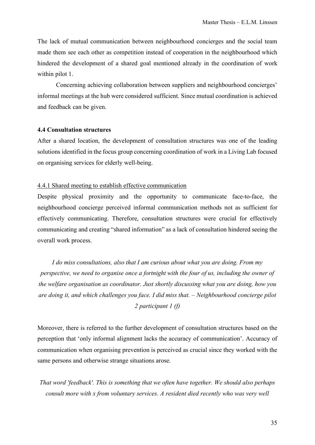The lack of mutual communication between neighbourhood concierges and the social team made them see each other as competition instead of cooperation in the neighbourhood which hindered the development of a shared goal mentioned already in the coordination of work within pilot 1.

Concerning achieving collaboration between suppliers and neighbourhood concierges' informal meetings at the hub were considered sufficient. Since mutual coordination is achieved and feedback can be given.

## <span id="page-34-0"></span>**4.4 Consultation structures**

After a shared location, the development of consultation structures was one of the leading solutions identified in the focus group concerning coordination of work in a Living Lab focused on organising services for elderly well-being.

#### <span id="page-34-1"></span>4.4.1 Shared meeting to establish effective communication

Despite physical proximity and the opportunity to communicate face-to-face, the neighbourhood concierge perceived informal communication methods not as sufficient for effectively communicating. Therefore, consultation structures were crucial for effectively communicating and creating "shared information" as a lack of consultation hindered seeing the overall work process.

*I do miss consultations, also that I am curious about what you are doing. From my perspective, we need to organise once a fortnight with the four of us, including the owner of the welfare organisation as coordinator. Just shortly discussing what you are doing, how you are doing it, and which challenges you face. I did miss that. – Neighbourhood concierge pilot 2 participant 1 (f)*

Moreover, there is referred to the further development of consultation structures based on the perception that 'only informal alignment lacks the accuracy of communication'. Accuracy of communication when organising prevention is perceived as crucial since they worked with the same persons and otherwise strange situations arose.

*That word 'feedback'. This is something that we often have together. We should also perhaps consult more with x from voluntary services. A resident died recently who was very well*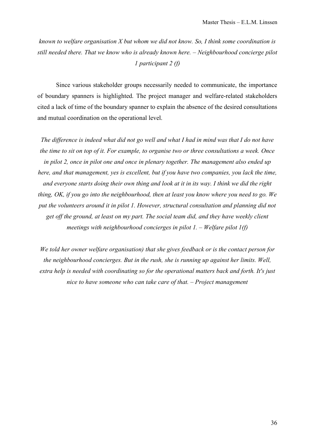*known to welfare organisation X but whom we did not know. So, I think some coordination is still needed there. That we know who is already known here. – Neighbourhood concierge pilot 1 participant 2 (f)*

Since various stakeholder groups necessarily needed to communicate, the importance of boundary spanners is highlighted. The project manager and welfare-related stakeholders cited a lack of time of the boundary spanner to explain the absence of the desired consultations and mutual coordination on the operational level.

*The difference is indeed what did not go well and what I had in mind was that I do not have the time to sit on top of it. For example, to organise two or three consultations a week. Once in pilot 2, once in pilot one and once in plenary together. The management also ended up here, and that management, yes is excellent, but if you have two companies, you lack the time, and everyone starts doing their own thing and look at it in its way. I think we did the right thing, OK, if you go into the neighbourhood, then at least you know where you need to go. We put the volunteers around it in pilot 1. However, structural consultation and planning did not get off the ground, at least on my part. The social team did, and they have weekly client meetings with neighbourhood concierges in pilot 1. – Welfare pilot 1(f)*

*We told her owner welfare organisation) that she gives feedback or is the contact person for the neighbourhood concierges. But in the rush, she is running up against her limits. Well, extra help is needed with coordinating so for the operational matters back and forth. It's just nice to have someone who can take care of that. – Project management*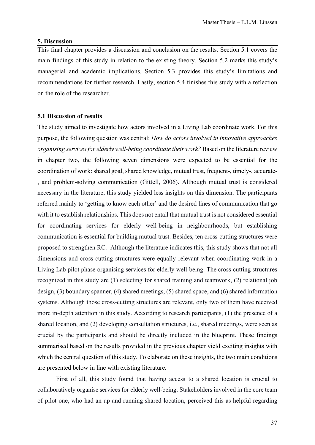#### <span id="page-36-0"></span>**5. Discussion**

This final chapter provides a discussion and conclusion on the results. Section 5.1 covers the main findings of this study in relation to the existing theory. Section 5.2 marks this study's managerial and academic implications. Section 5.3 provides this study's limitations and recommendations for further research. Lastly, section 5.4 finishes this study with a reflection on the role of the researcher.

#### <span id="page-36-1"></span>**5.1 Discussion of results**

The study aimed to investigate how actors involved in a Living Lab coordinate work. For this purpose, the following question was central: *How do actors involved in innovative approaches organising services for elderly well-being coordinate their work?* Based on the literature review in chapter two, the following seven dimensions were expected to be essential for the coordination of work: shared goal, shared knowledge, mutual trust, frequent-, timely-, accurate- , and problem-solving communication (Gittell, 2006). Although mutual trust is considered necessary in the literature, this study yielded less insights on this dimension. The participants referred mainly to 'getting to know each other' and the desired lines of communication that go with it to establish relationships. This does not entail that mutual trust is not considered essential for coordinating services for elderly well-being in neighbourhoods, but establishing communication is essential for building mutual trust. Besides, ten cross-cutting structures were proposed to strengthen RC. Although the literature indicates this, this study shows that not all dimensions and cross-cutting structures were equally relevant when coordinating work in a Living Lab pilot phase organising services for elderly well-being. The cross-cutting structures recognized in this study are (1) selecting for shared training and teamwork, (2) relational job design, (3) boundary spanner, (4) shared meetings, (5) shared space, and (6) shared information systems. Although those cross-cutting structures are relevant, only two of them have received more in-depth attention in this study. According to research participants, (1) the presence of a shared location, and (2) developing consultation structures, i.e., shared meetings, were seen as crucial by the participants and should be directly included in the blueprint. These findings summarised based on the results provided in the previous chapter yield exciting insights with which the central question of this study. To elaborate on these insights, the two main conditions are presented below in line with existing literature.

First of all, this study found that having access to a shared location is crucial to collaboratively organise services for elderly well-being. Stakeholders involved in the core team of pilot one, who had an up and running shared location, perceived this as helpful regarding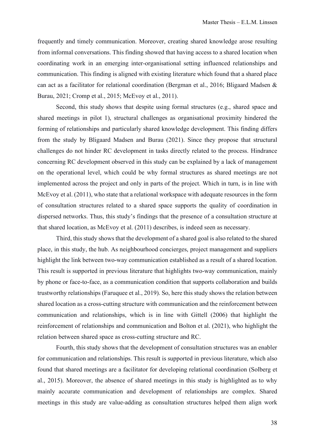frequently and timely communication. Moreover, creating shared knowledge arose resulting from informal conversations. This finding showed that having access to a shared location when coordinating work in an emerging inter-organisational setting influenced relationships and communication. This finding is aligned with existing literature which found that a shared place can act as a facilitator for relational coordination (Bergman et al., 2016; Bligaard Madsen & Burau, 2021; Cromp et al., 2015; McEvoy et al., 2011).

Second, this study shows that despite using formal structures (e.g., shared space and shared meetings in pilot 1), structural challenges as organisational proximity hindered the forming of relationships and particularly shared knowledge development. This finding differs from the study by Bligaard Madsen and Burau (2021). Since they propose that structural challenges do not hinder RC development in tasks directly related to the process. Hindrance concerning RC development observed in this study can be explained by a lack of management on the operational level, which could be why formal structures as shared meetings are not implemented across the project and only in parts of the project. Which in turn, is in line with McEvoy et al. (2011), who state that a relational workspace with adequate resources in the form of consultation structures related to a shared space supports the quality of coordination in dispersed networks. Thus, this study's findings that the presence of a consultation structure at that shared location, as McEvoy et al. (2011) describes, is indeed seen as necessary.

Third, this study shows that the development of a shared goal is also related to the shared place, in this study, the hub. As neighbourhood concierges, project management and suppliers highlight the link between two-way communication established as a result of a shared location. This result is supported in previous literature that highlights two-way communication, mainly by phone or face-to-face, as a communication condition that supports collaboration and builds trustworthy relationships (Faruquee et al., 2019). So, here this study shows the relation between shared location as a cross-cutting structure with communication and the reinforcement between communication and relationships, which is in line with Gittell (2006) that highlight the reinforcement of relationships and communication and Bolton et al. (2021), who highlight the relation between shared space as cross-cutting structure and RC.

Fourth, this study shows that the development of consultation structures was an enabler for communication and relationships. This result is supported in previous literature, which also found that shared meetings are a facilitator for developing relational coordination (Solberg et al., 2015). Moreover, the absence of shared meetings in this study is highlighted as to why mainly accurate communication and development of relationships are complex. Shared meetings in this study are value-adding as consultation structures helped them align work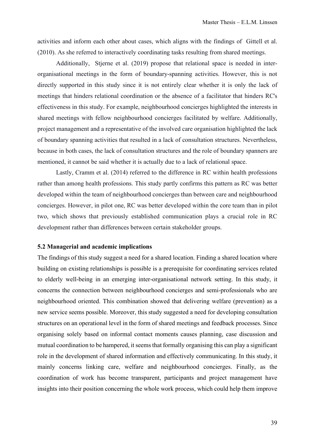activities and inform each other about cases, which aligns with the findings of Gittell et al. (2010). As she referred to interactively coordinating tasks resulting from shared meetings.

Additionally, Stjerne et al. (2019) propose that relational space is needed in interorganisational meetings in the form of boundary-spanning activities. However, this is not directly supported in this study since it is not entirely clear whether it is only the lack of meetings that hinders relational coordination or the absence of a facilitator that hinders RC's effectiveness in this study. For example, neighbourhood concierges highlighted the interests in shared meetings with fellow neighbourhood concierges facilitated by welfare. Additionally, project management and a representative of the involved care organisation highlighted the lack of boundary spanning activities that resulted in a lack of consultation structures. Nevertheless, because in both cases, the lack of consultation structures and the role of boundary spanners are mentioned, it cannot be said whether it is actually due to a lack of relational space.

Lastly, Cramm et al. (2014) referred to the difference in RC within health professions rather than among health professions. This study partly confirms this pattern as RC was better developed within the team of neighbourhood concierges than between care and neighbourhood concierges. However, in pilot one, RC was better developed within the core team than in pilot two, which shows that previously established communication plays a crucial role in RC development rather than differences between certain stakeholder groups.

#### <span id="page-38-0"></span>**5.2 Managerial and academic implications**

The findings of this study suggest a need for a shared location. Finding a shared location where building on existing relationships is possible is a prerequisite for coordinating services related to elderly well-being in an emerging inter-organisational network setting. In this study, it concerns the connection between neighbourhood concierges and semi-professionals who are neighbourhood oriented. This combination showed that delivering welfare (prevention) as a new service seems possible. Moreover, this study suggested a need for developing consultation structures on an operational level in the form of shared meetings and feedback processes. Since organising solely based on informal contact moments causes planning, case discussion and mutual coordination to be hampered, it seems that formally organising this can play a significant role in the development of shared information and effectively communicating. In this study, it mainly concerns linking care, welfare and neighbourhood concierges. Finally, as the coordination of work has become transparent, participants and project management have insights into their position concerning the whole work process, which could help them improve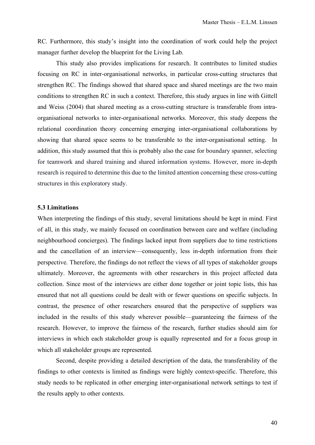RC. Furthermore, this study's insight into the coordination of work could help the project manager further develop the blueprint for the Living Lab.

This study also provides implications for research. It contributes to limited studies focusing on RC in inter-organisational networks, in particular cross-cutting structures that strengthen RC. The findings showed that shared space and shared meetings are the two main conditions to strengthen RC in such a context. Therefore, this study argues in line with Gittell and Weiss (2004) that shared meeting as a cross-cutting structure is transferable from intraorganisational networks to inter-organisational networks. Moreover, this study deepens the relational coordination theory concerning emerging inter-organisational collaborations by showing that shared space seems to be transferable to the inter-organisational setting. In addition, this study assumed that this is probably also the case for boundary spanner, selecting for teamwork and shared training and shared information systems. However, more in-depth research is required to determine this due to the limited attention concerning these cross-cutting structures in this exploratory study.

#### <span id="page-39-0"></span>**5.3 Limitations**

When interpreting the findings of this study, several limitations should be kept in mind. First of all, in this study, we mainly focused on coordination between care and welfare (including neighbourhood concierges). The findings lacked input from suppliers due to time restrictions and the cancellation of an interview—consequently, less in-depth information from their perspective. Therefore, the findings do not reflect the views of all types of stakeholder groups ultimately. Moreover, the agreements with other researchers in this project affected data collection. Since most of the interviews are either done together or joint topic lists, this has ensured that not all questions could be dealt with or fewer questions on specific subjects. In contrast, the presence of other researchers ensured that the perspective of suppliers was included in the results of this study wherever possible—guaranteeing the fairness of the research. However, to improve the fairness of the research, further studies should aim for interviews in which each stakeholder group is equally represented and for a focus group in which all stakeholder groups are represented.

Second, despite providing a detailed description of the data, the transferability of the findings to other contexts is limited as findings were highly context-specific. Therefore, this study needs to be replicated in other emerging inter-organisational network settings to test if the results apply to other contexts.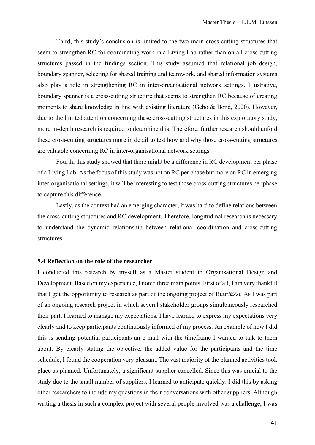Third, this study's conclusion is limited to the two main cross-cutting structures that seem to strengthen RC for coordinating work in a Living Lab rather than on all cross-cutting structures passed in the findings section. This study assumed that relational job design, boundary spanner, selecting for shared training and teamwork, and shared information systems also play a role in strengthening RC in inter-organisational network settings. Illustrative, boundary spanner is a cross-cutting structure that seems to strengthen RC because of creating moments to share knowledge in line with existing literature (Gebo & Bond, 2020). However, due to the limited attention concerning these cross-cutting structures in this exploratory study, more in-depth research is required to determine this. Therefore, further research should unfold these cross-cutting structures more in detail to test how and why those cross-cutting structures are valuable concerning RC in inter-organisational network settings.

Fourth, this study showed that there might be a difference in RC development per phase of a Living Lab. As the focus of this study was not on RC per phase but more on RC in emerging inter-organisational settings, it will be interesting to test those cross-cutting structures per phase to capture this difference.

Lastly, as the context had an emerging character, it was hard to define relations between the cross-cutting structures and RC development. Therefore, longitudinal research is necessary to understand the dynamic relationship between relational coordination and cross-cutting structures.

#### <span id="page-40-0"></span>**5.4 Reflection on the role of the researcher**

I conducted this research by myself as a Master student in Organisational Design and Development. Based on my experience, I noted three main points. First of all, I am very thankful that I got the opportunity to research as part of the ongoing project of Buur&Zo. As I was part of an ongoing research project in which several stakeholder groups simultaneously researched their part, I learned to manage my expectations. I have learned to express my expectations very clearly and to keep participants continuously informed of my process. An example of how I did this is sending potential participants an e-mail with the timeframe I wanted to talk to them about. By clearly stating the objective, the added value for the participants and the time schedule, I found the cooperation very pleasant. The vast majority of the planned activities took place as planned. Unfortunately, a significant supplier cancelled. Since this was crucial to the study due to the small number of suppliers, I learned to anticipate quickly. I did this by asking other researchers to include my questions in their conversations with other suppliers. Although writing a thesis in such a complex project with several people involved was a challenge, I was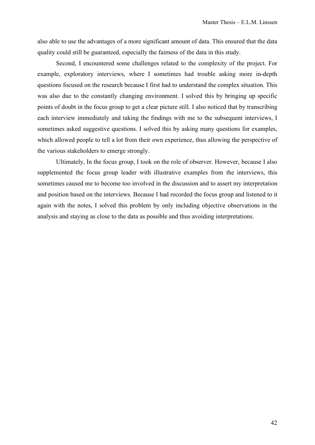also able to use the advantages of a more significant amount of data. This ensured that the data quality could still be guaranteed, especially the fairness of the data in this study.

Second, I encountered some challenges related to the complexity of the project. For example, exploratory interviews, where I sometimes had trouble asking more in-depth questions focused on the research because I first had to understand the complex situation. This was also due to the constantly changing environment. I solved this by bringing up specific points of doubt in the focus group to get a clear picture still. I also noticed that by transcribing each interview immediately and taking the findings with me to the subsequent interviews, I sometimes asked suggestive questions. I solved this by asking many questions for examples, which allowed people to tell a lot from their own experience, thus allowing the perspective of the various stakeholders to emerge strongly.

Ultimately, In the focus group, I took on the role of observer. However, because I also supplemented the focus group leader with illustrative examples from the interviews, this sometimes caused me to become too involved in the discussion and to assert my interpretation and position based on the interviews. Because I had recorded the focus group and listened to it again with the notes, I solved this problem by only including objective observations in the analysis and staying as close to the data as possible and thus avoiding interpretations.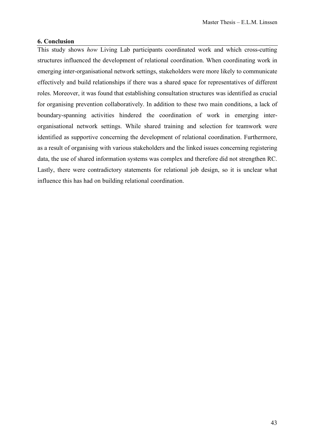## <span id="page-42-0"></span>**6. Conclusion**

This study shows *how* Living Lab participants coordinated work and which cross-cutting structures influenced the development of relational coordination. When coordinating work in emerging inter-organisational network settings, stakeholders were more likely to communicate effectively and build relationships if there was a shared space for representatives of different roles. Moreover, it was found that establishing consultation structures was identified as crucial for organising prevention collaboratively. In addition to these two main conditions, a lack of boundary-spanning activities hindered the coordination of work in emerging interorganisational network settings. While shared training and selection for teamwork were identified as supportive concerning the development of relational coordination. Furthermore, as a result of organising with various stakeholders and the linked issues concerning registering data, the use of shared information systems was complex and therefore did not strengthen RC. Lastly, there were contradictory statements for relational job design, so it is unclear what influence this has had on building relational coordination.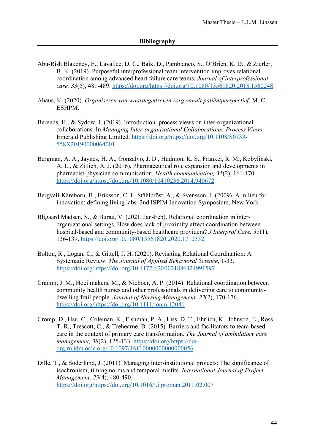- <span id="page-43-0"></span>Abu-Rish Blakeney, E., Lavallee, D. C., Baik, D., Pambianco, S., O'Brien, K. D., & Zierler, B. K. (2019). Purposeful interprofessional team intervention improves relational coordination among advanced heart failure care teams. *Journal of interprofessional care, 33*(5), 481-489. [https://doi.org/https://doi.org/10.1080/13561820.2018.1560248](https://doi.org/https:/doi.org/10.1080/13561820.2018.1560248)
- Ahaus, K. (2020). *Organiseren van waardegedreven zorg vanuit patiëntperspectief*. M. C. ESHPM.
- Berends, H., & Sydow, J. (2019). Introduction: process views on inter-organizational collaborations. In *Managing Inter-organizational Collaborations: Process Views*. Emerald Publishing Limited. [https://doi.org/https://doi.org/10.1108/S0733-](https://doi.org/https:/doi.org/10.1108/S0733-558X20190000064001) [558X20190000064001](https://doi.org/https:/doi.org/10.1108/S0733-558X20190000064001)
- Bergman, A. A., Jaynes, H. A., Gonzalvo, J. D., Hudmon, K. S., Frankel, R. M., Kobylinski, A. L., & Zillich, A. J. (2016). Pharmaceutical role expansion and developments in pharmacist-physician communication. *Health communication, 31*(2), 161-170. [https://doi.org/https://doi.org/10.1080/10410236.2014.940672](https://doi.org/https:/doi.org/10.1080/10410236.2014.940672)
- Bergvall-Kåreborn, B., Eriksson, C. I., Ståhlbröst, A., & Svensson, J. (2009). A milieu for innovation: defining living labs. 2nd ISPIM Innovation Symposium, New York
- Bligaard Madsen, S., & Burau, V. (2021, Jan-Feb). Relational coordination in interorganizational settings. How does lack of proximity affect coordination between hospital-based and community-based healthcare providers? *J Interprof Care, 35*(1), 136-139.<https://doi.org/10.1080/13561820.2020.1712332>
- Bolton, R., Logan, C., & Gittell, J. H. (2021). Revisiting Relational Coordination: A Systematic Review. *The Journal of Applied Behavioral Science*, 1-33. [https://doi.org/https://doi.org/10.1177%2F0021886321991597](https://doi.org/https:/doi.org/10.1177%2F0021886321991597)
- Cramm, J. M., Hoeijmakers, M., & Nieboer, A. P. (2014). Relational coordination between community health nurses and other professionals in delivering care to communitydwelling frail people. *Journal of Nursing Management, 22*(2), 170-176. [https://doi.org/https://doi.org/10.1111/jonm.12041](https://doi.org/https:/doi.org/10.1111/jonm.12041)
- Cromp, D., Hsu, C., Coleman, K., Fishman, P. A., Liss, D. T., Ehrlich, K., Johnson, E., Ross, T. R., Trescott, C., & Trehearne, B. (2015). Barriers and facilitators to team-based care in the context of primary care transformation. *The Journal of ambulatory care management, 38*(2), 125-133. [https://doi.org/https://doi](https://doi.org/https:/doi-org.ru.idm.oclc.org/10.1097/JAC.0000000000000056)[org.ru.idm.oclc.org/10.1097/JAC.0000000000000056](https://doi.org/https:/doi-org.ru.idm.oclc.org/10.1097/JAC.0000000000000056)
- Dille, T., & Söderlund, J. (2011). Managing inter-institutional projects: The significance of isochronism, timing norms and temporal misfits. *International Journal of Project Management, 29*(4), 480-490. [https://doi.org/https://doi.org/10.1016/j.ijproman.2011.02.007](https://doi.org/https:/doi.org/10.1016/j.ijproman.2011.02.007)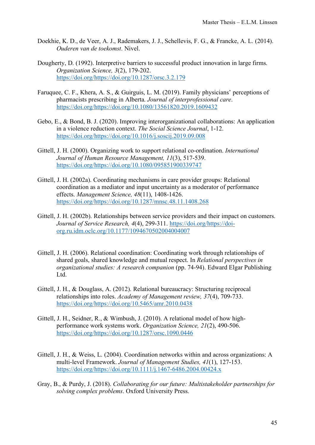- Doekhie, K. D., de Veer, A. J., Rademakers, J. J., Schellevis, F. G., & Francke, A. L. (2014). *Ouderen van de toekomst*. Nivel.
- Dougherty, D. (1992). Interpretive barriers to successful product innovation in large firms. *Organization Science, 3*(2), 179-202. [https://doi.org/https://doi.org/10.1287/orsc.3.2.179](https://doi.org/https:/doi.org/10.1287/orsc.3.2.179)
- Faruquee, C. F., Khera, A. S., & Guirguis, L. M. (2019). Family physicians' perceptions of pharmacists prescribing in Alberta. *Journal of interprofessional care*. [https://doi.org/https://doi.org/10.1080/13561820.2019.1609432](https://doi.org/https:/doi.org/10.1080/13561820.2019.1609432)
- Gebo, E., & Bond, B. J. (2020). Improving interorganizational collaborations: An application in a violence reduction context. *The Social Science Journal*, 1-12. [https://doi.org/https://doi.org/10.1016/j.soscij.2019.09.008](https://doi.org/https:/doi.org/10.1016/j.soscij.2019.09.008)
- Gittell, J. H. (2000). Organizing work to support relational co-ordination. *International Journal of Human Resource Management, 11*(3), 517-539. [https://doi.org/https://doi.org/10.1080/095851900339747](https://doi.org/https:/doi.org/10.1080/095851900339747)
- Gittell, J. H. (2002a). Coordinating mechanisms in care provider groups: Relational coordination as a mediator and input uncertainty as a moderator of performance effects. *Management Science, 48*(11), 1408-1426. [https://doi.org/https://doi.org/10.1287/mnsc.48.11.1408.268](https://doi.org/https:/doi.org/10.1287/mnsc.48.11.1408.268)
- Gittell, J. H. (2002b). Relationships between service providers and their impact on customers. *Journal of Service Research, 4*(4), 299-311. [https://doi.org/https://doi](https://doi.org/https:/doi-org.ru.idm.oclc.org/10.1177/1094670502004004007)[org.ru.idm.oclc.org/10.1177/1094670502004004007](https://doi.org/https:/doi-org.ru.idm.oclc.org/10.1177/1094670502004004007)
- Gittell, J. H. (2006). Relational coordination: Coordinating work through relationships of shared goals, shared knowledge and mutual respect. In *Relational perspectives in organizational studies: A research companion* (pp. 74-94). Edward Elgar Publishing Ltd.
- Gittell, J. H., & Douglass, A. (2012). Relational bureaucracy: Structuring reciprocal relationships into roles. *Academy of Management review, 37*(4), 709-733. [https://doi.org/https://doi.org/10.5465/amr.2010.0438](https://doi.org/https:/doi.org/10.5465/amr.2010.0438)
- Gittell, J. H., Seidner, R., & Wimbush, J. (2010). A relational model of how highperformance work systems work. *Organization Science, 21*(2), 490-506. [https://doi.org/https://doi.org/10.1287/orsc.1090.0446](https://doi.org/https:/doi.org/10.1287/orsc.1090.0446)
- Gittell, J. H., & Weiss, L. (2004). Coordination networks within and across organizations: A multi‐level Framework. *Journal of Management Studies, 41*(1), 127-153. [https://doi.org/https://doi.org/10.1111/j.1467-6486.2004.00424.x](https://doi.org/https:/doi.org/10.1111/j.1467-6486.2004.00424.x)
- Gray, B., & Purdy, J. (2018). *Collaborating for our future: Multistakeholder partnerships for solving complex problems*. Oxford University Press.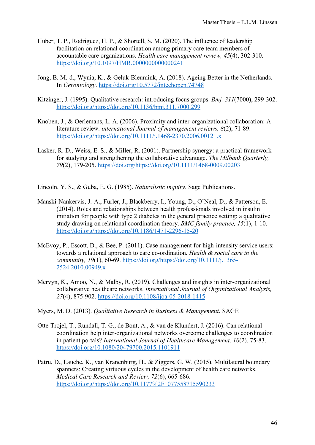- Huber, T. P., Rodriguez, H. P., & Shortell, S. M. (2020). The influence of leadership facilitation on relational coordination among primary care team members of accountable care organizations. *Health care management review, 45*(4), 302-310. <https://doi.org/10.1097/HMR.0000000000000241>
- Jong, B. M.-d., Wynia, K., & Geluk-Bleumink, A. (2018). Ageing Better in the Netherlands. In *Gerontology*.<https://doi.org/10.5772/intechopen.74748>
- Kitzinger, J. (1995). Qualitative research: introducing focus groups. *Bmj, 311*(7000), 299-302. [https://doi.org/https://doi.org/10.1136/bmj.311.7000.299](https://doi.org/https:/doi.org/10.1136/bmj.311.7000.299)
- Knoben, J., & Oerlemans, L. A. (2006). Proximity and inter-organizational collaboration: A literature review. *international Journal of management reviews, 8*(2), 71-89. [https://doi.org/https://doi.org/10.1111/j.1468-2370.2006.00121.x](https://doi.org/https:/doi.org/10.1111/j.1468-2370.2006.00121.x)
- Lasker, R. D., Weiss, E. S., & Miller, R. (2001). Partnership synergy: a practical framework for studying and strengthening the collaborative advantage. *The Milbank Quarterly, 79*(2), 179-205. [https://doi.org/https://doi.org/10.1111/1468-0009.00203](https://doi.org/https:/doi.org/10.1111/1468-0009.00203)

Lincoln, Y. S., & Guba, E. G. (1985). *Naturalistic inquiry*. Sage Publications.

- Manski-Nankervis, J.-A., Furler, J., Blackberry, I., Young, D., O'Neal, D., & Patterson, E. (2014). Roles and relationships between health professionals involved in insulin initiation for people with type 2 diabetes in the general practice setting: a qualitative study drawing on relational coordination theory. *BMC family practice, 15*(1), 1-10. [https://doi.org/https://doi.org/10.1186/1471-2296-15-20](https://doi.org/https:/doi.org/10.1186/1471-2296-15-20)
- McEvoy, P., Escott, D., & Bee, P. (2011). Case management for high-intensity service users: towards a relational approach to care co‐ordination. *Health & social care in the community, 19*(1), 60-69. [https://doi.org/https://doi.org/10.1111/j.1365-](https://doi.org/https:/doi.org/10.1111/j.1365-2524.2010.00949.x) [2524.2010.00949.x](https://doi.org/https:/doi.org/10.1111/j.1365-2524.2010.00949.x)
- Mervyn, K., Amoo, N., & Malby, R. (2019). Challenges and insights in inter-organizational collaborative healthcare networks. *International Journal of Organizational Analysis, 27*(4), 875-902.<https://doi.org/10.1108/ijoa-05-2018-1415>
- Myers, M. D. (2013). *Qualitative Research in Business & Management*. SAGE
- Otte-Trojel, T., Rundall, T. G., de Bont, A., & van de Klundert, J. (2016). Can relational coordination help inter-organizational networks overcome challenges to coordination in patient portals? *International Journal of Healthcare Management, 10*(2), 75-83. <https://doi.org/10.1080/20479700.2015.1101911>
- Patru, D., Lauche, K., van Kranenburg, H., & Ziggers, G. W. (2015). Multilateral boundary spanners: Creating virtuous cycles in the development of health care networks. *Medical Care Research and Review, 72*(6), 665-686. [https://doi.org/https://doi.org/10.1177%2F1077558715590233](https://doi.org/https:/doi.org/10.1177%2F1077558715590233)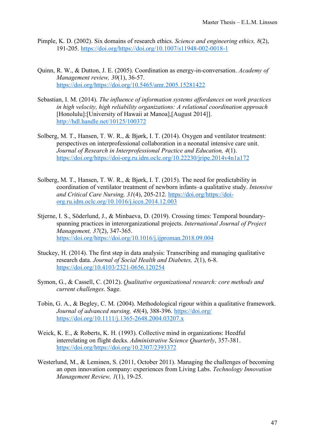- Pimple, K. D. (2002). Six domains of research ethics. *Science and engineering ethics, 8*(2), 191-205. [https://doi.org/https://doi.org/10.1007/s11948-002-0018-1](https://doi.org/https:/doi.org/10.1007/s11948-002-0018-1)
- Quinn, R. W., & Dutton, J. E. (2005). Coordination as energy-in-conversation. *Academy of Management review, 30*(1), 36-57. [https://doi.org/https://doi.org/10.5465/amr.2005.15281422](https://doi.org/https:/doi.org/10.5465/amr.2005.15281422)
- Sebastian, I. M. (2014). *The influence of information systems affordances on work practices in high velocity, high reliability organizations: A relational coordination approach* [Honolulu]:[University of Hawaii at Manoa],[August 2014]]. <http://hdl.handle.net/10125/100372>
- Solberg, M. T., Hansen, T. W. R., & Bjørk, I. T. (2014). Oxygen and ventilator treatment: perspectives on interprofessional collaboration in a neonatal intensive care unit. *Journal of Research in Interprofessional Practice and Education, 4*(1). [https://doi.org/https://doi-org.ru.idm.oclc.org/10.22230/jripe.2014v4n1a172](https://doi.org/https:/doi-org.ru.idm.oclc.org/10.22230/jripe.2014v4n1a172)
- Solberg, M. T., Hansen, T. W. R., & Bjørk, I. T. (2015). The need for predictability in coordination of ventilator treatment of newborn infants–a qualitative study. *Intensive and Critical Care Nursing, 31*(4), 205-212. [https://doi.org/https://doi](https://doi.org/https:/doi-org.ru.idm.oclc.org/10.1016/j.iccn.2014.12.003)[org.ru.idm.oclc.org/10.1016/j.iccn.2014.12.003](https://doi.org/https:/doi-org.ru.idm.oclc.org/10.1016/j.iccn.2014.12.003)
- Stjerne, I. S., Söderlund, J., & Minbaeva, D. (2019). Crossing times: Temporal boundaryspanning practices in interorganizational projects. *International Journal of Project Management, 37*(2), 347-365. [https://doi.org/https://doi.org/10.1016/j.ijproman.2018.09.004](https://doi.org/https:/doi.org/10.1016/j.ijproman.2018.09.004)
- Stuckey, H. (2014). The first step in data analysis: Transcribing and managing qualitative research data. *Journal of Social Health and Diabetes, 2*(1), 6-8. <https://doi.org/10.4103/2321-0656.120254>
- Symon, G., & Cassell, C. (2012). *Qualitative organizational research: core methods and current challenges*. Sage.
- Tobin, G. A., & Begley, C. M. (2004). Methodological rigour within a qualitative framework. *Journal of advanced nursing, 48*(4), 388-396.<https://doi.org/> <https://doi.org/10.1111/j.1365-2648.2004.03207.x>
- Weick, K. E., & Roberts, K. H. (1993). Collective mind in organizations: Heedful interrelating on flight decks. *Administrative Science Quarterly*, 357-381. [https://doi.org/https://doi.org/10.2307/2393372](https://doi.org/https:/doi.org/10.2307/2393372)
- Westerlund, M., & Leminen, S. (2011, October 2011). Managing the challenges of becoming an open innovation company: experiences from Living Labs. *Technology Innovation Management Review, 1*(1), 19-25.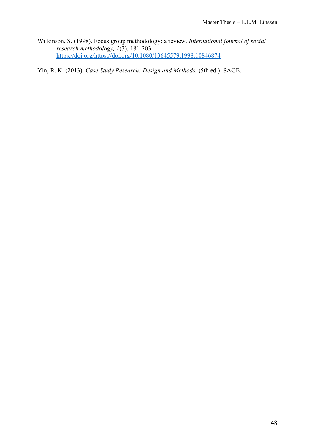Wilkinson, S. (1998). Focus group methodology: a review. *International journal of social research methodology, 1*(3), 181-203. [https://doi.org/https://doi.org/10.1080/13645579.1998.10846874](https://doi.org/https:/doi.org/10.1080/13645579.1998.10846874)

Yin, R. K. (2013). *Case Study Research: Design and Methods.* (5th ed.). SAGE.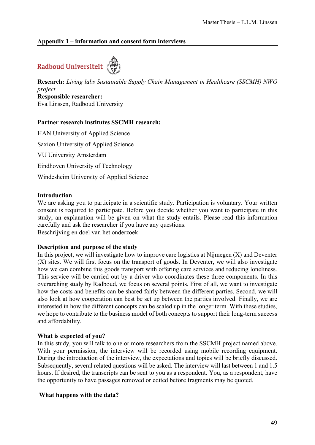## <span id="page-48-0"></span>**Appendix 1 – information and consent form interviews**

# Radboud Universiteit

**Research:** *Living labs Sustainable Supply Chain Management in Healthcare (SSCMH) NWO project* **Responsible researcher:**

Eva Linssen, Radboud University

## **Partner research institutes SSCMH research:**

HAN University of Applied Science Saxion University of Applied Science VU University Amsterdam Eindhoven University of Technology Windesheim University of Applied Science

## **Introduction**

We are asking you to participate in a scientific study. Participation is voluntary. Your written consent is required to participate. Before you decide whether you want to participate in this study, an explanation will be given on what the study entails. Please read this information carefully and ask the researcher if you have any questions. Beschrijving en doel van het onderzoek

## **Description and purpose of the study**

In this project, we will investigate how to improve care logistics at Nijmegen  $(X)$  and Deventer (X) sites. We will first focus on the transport of goods. In Deventer, we will also investigate how we can combine this goods transport with offering care services and reducing loneliness. This service will be carried out by a driver who coordinates these three components. In this overarching study by Radboud, we focus on several points. First of all, we want to investigate how the costs and benefits can be shared fairly between the different parties. Second, we will also look at how cooperation can best be set up between the parties involved. Finally, we are interested in how the different concepts can be scaled up in the longer term. With these studies, we hope to contribute to the business model of both concepts to support their long-term success and affordability.

#### **What is expected of you?**

In this study, you will talk to one or more researchers from the SSCMH project named above. With your permission, the interview will be recorded using mobile recording equipment. During the introduction of the interview, the expectations and topics will be briefly discussed. Subsequently, several related questions will be asked. The interview will last between 1 and 1.5 hours. If desired, the transcripts can be sent to you as a respondent. You, as a respondent, have the opportunity to have passages removed or edited before fragments may be quoted.

## **What happens with the data?**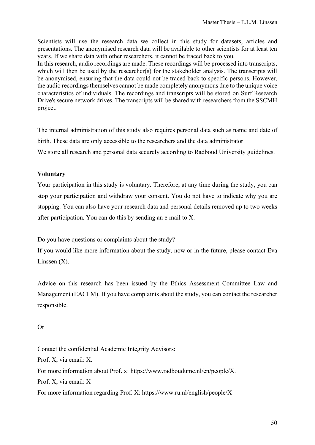Scientists will use the research data we collect in this study for datasets, articles and presentations. The anonymised research data will be available to other scientists for at least ten years. If we share data with other researchers, it cannot be traced back to you.

In this research, audio recordings are made. These recordings will be processed into transcripts, which will then be used by the researcher(s) for the stakeholder analysis. The transcripts will be anonymised, ensuring that the data could not be traced back to specific persons. However, the audio recordings themselves cannot be made completely anonymous due to the unique voice characteristics of individuals. The recordings and transcripts will be stored on Surf Research Drive's secure network drives. The transcripts will be shared with researchers from the SSCMH project.

The internal administration of this study also requires personal data such as name and date of birth. These data are only accessible to the researchers and the data administrator.

We store all research and personal data securely according to Radboud University guidelines.

## **Voluntary**

Your participation in this study is voluntary. Therefore, at any time during the study, you can stop your participation and withdraw your consent. You do not have to indicate why you are stopping. You can also have your research data and personal details removed up to two weeks after participation. You can do this by sending an e-mail to X.

Do you have questions or complaints about the study?

If you would like more information about the study, now or in the future, please contact Eva Linssen (X).

Advice on this research has been issued by the Ethics Assessment Committee Law and Management (EACLM). If you have complaints about the study, you can contact the researcher responsible.

## Or

Contact the confidential Academic Integrity Advisors: Prof. X, via email: X. For more information about Prof. x: https://www.radboudumc.nl/en/people/X. Prof. X, via email: X For more information regarding Prof. X: https://www.ru.nl/english/people/X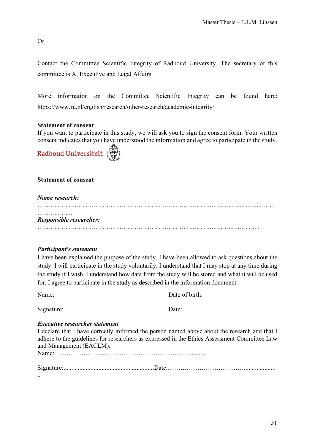Or

Contact the Committee Scientific Integrity of Radboud University. The secretary of this committee is X, Executive and Legal Affairs.

More information on the Committee Scientific Integrity can be found here: https://www.ru.nl/english/research/other-research/academic-integrity/

## **Statement of consent**

If you want to participate in this study, we will ask you to sign the consent form. Your written consent indicates that you have understood the information and agree to participate in the study.



## **Statement of consent**

### *Name research:*

*……………………………………………………………………………………………………………… Responsible researcher: ………………………………………………………………………………………………………..*

## *Participant's statement*

I have been explained the purpose of the study. I have been allowed to ask questions about the study. I will participate in the study voluntarily. I understand that I may stop at any time during the study if I wish. I understand how data from the study will be stored and what it will be used for. I agree to participate in the study as described in the information document.

Name: Date of birth:

| Signature: | Date: |
|------------|-------|
|            |       |

#### *Executive researcher statement*

I declare that I have correctly informed the person named above about the research and that I adhere to the guidelines for researchers as expressed in the Ethics Assessment Committee Law and Management (EACLM).

Name: …………………………………………………………......

Signature:.........................................................Date:………………………………....................

..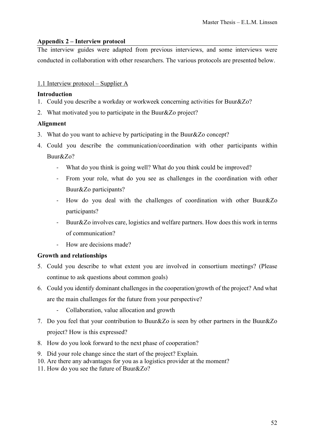## <span id="page-51-0"></span>**Appendix 2 – Interview protocol**

The interview guides were adapted from previous interviews, and some interviews were conducted in collaboration with other researchers. The various protocols are presented below.

## <span id="page-51-1"></span>1.1 Interview protocol – Supplier A

## **Introduction**

- 1. Could you describe a workday or workweek concerning activities for Buur&Zo?
- 2. What motivated you to participate in the Buur&Zo project?

## **Alignment**

- 3. What do you want to achieve by participating in the Buur&Zo concept?
- 4. Could you describe the communication/coordination with other participants within Buur&Zo?
	- What do you think is going well? What do you think could be improved?
	- From your role, what do you see as challenges in the coordination with other Buur&Zo participants?
	- How do you deal with the challenges of coordination with other Buur&Zo participants?
	- Buur&Zo involves care, logistics and welfare partners. How does this work in terms of communication?
	- How are decisions made?

## **Growth and relationships**

- 5. Could you describe to what extent you are involved in consortium meetings? (Please continue to ask questions about common goals)
- 6. Could you identify dominant challenges in the cooperation/growth of the project? And what are the main challenges for the future from your perspective?
	- Collaboration, value allocation and growth
- 7. Do you feel that your contribution to Buur&Zo is seen by other partners in the Buur&Zo project? How is this expressed?
- 8. How do you look forward to the next phase of cooperation?
- 9. Did your role change since the start of the project? Explain.
- 10. Are there any advantages for you as a logistics provider at the moment?
- 11. How do you see the future of Buur&Zo?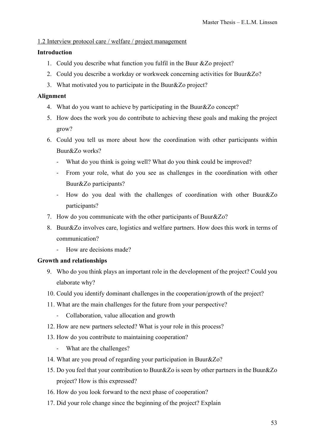## <span id="page-52-0"></span>1.2 Interview protocol care / welfare / project management

## **Introduction**

- 1. Could you describe what function you fulfil in the Buur &Zo project?
- 2. Could you describe a workday or workweek concerning activities for Buur&Zo?
- 3. What motivated you to participate in the Buur&Zo project?

## **Alignment**

- 4. What do you want to achieve by participating in the Buur&Zo concept?
- 5. How does the work you do contribute to achieving these goals and making the project grow?
- 6. Could you tell us more about how the coordination with other participants within Buur&Zo works?
	- What do you think is going well? What do you think could be improved?
	- From your role, what do you see as challenges in the coordination with other Buur&Zo participants?
	- How do you deal with the challenges of coordination with other Buur&Zo participants?
- 7. How do you communicate with the other participants of Buur&Zo?
- 8. Buur&Zo involves care, logistics and welfare partners. How does this work in terms of communication?
	- How are decisions made?

## **Growth and relationships**

- 9. Who do you think plays an important role in the development of the project? Could you elaborate why?
- 10. Could you identify dominant challenges in the cooperation/growth of the project?
- 11. What are the main challenges for the future from your perspective?
	- Collaboration, value allocation and growth
- 12. How are new partners selected? What is your role in this process?
- 13. How do you contribute to maintaining cooperation?
	- What are the challenges?
- 14. What are you proud of regarding your participation in Buur&Zo?
- 15. Do you feel that your contribution to Buur&Zo is seen by other partners in the Buur&Zo project? How is this expressed?
- 16. How do you look forward to the next phase of cooperation?
- 17. Did your role change since the beginning of the project? Explain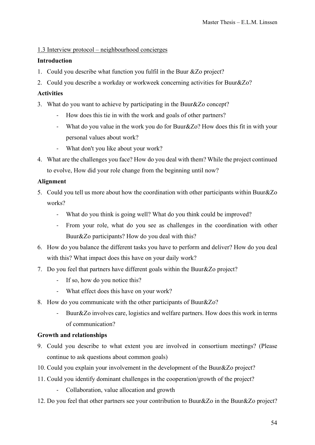## <span id="page-53-0"></span>1.3 Interview protocol – neighbourhood concierges

## **Introduction**

- 1. Could you describe what function you fulfil in the Buur &Zo project?
- 2. Could you describe a workday or workweek concerning activities for Buur&Zo?

## **Activities**

- 3. What do you want to achieve by participating in the Buur&Zo concept?
	- How does this tie in with the work and goals of other partners?
	- What do you value in the work you do for Buur&Zo? How does this fit in with your personal values about work?
	- What don't you like about your work?
- 4. What are the challenges you face? How do you deal with them? While the project continued to evolve, How did your role change from the beginning until now?

## **Alignment**

- 5. Could you tell us more about how the coordination with other participants within Buur&Zo works?
	- What do you think is going well? What do you think could be improved?
	- From your role, what do you see as challenges in the coordination with other Buur&Zo participants? How do you deal with this?
- 6. How do you balance the different tasks you have to perform and deliver? How do you deal with this? What impact does this have on your daily work?
- 7. Do you feel that partners have different goals within the Buur&Zo project?
	- If so, how do you notice this?
	- What effect does this have on your work?
- 8. How do you communicate with the other participants of Buur&Zo?
	- Buur&Zo involves care, logistics and welfare partners. How does this work in terms of communication?

## **Growth and relationships**

- 9. Could you describe to what extent you are involved in consortium meetings? (Please continue to ask questions about common goals)
- 10. Could you explain your involvement in the development of the Buur&Zo project?
- 11. Could you identify dominant challenges in the cooperation/growth of the project?
	- Collaboration, value allocation and growth
- 12. Do you feel that other partners see your contribution to Buur&Zo in the Buur&Zo project?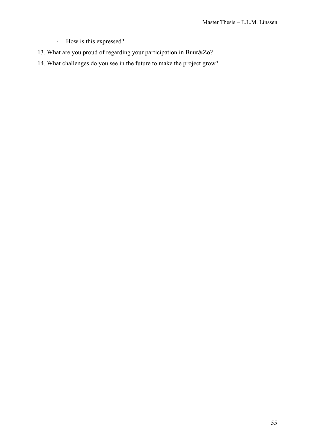- How is this expressed?
- 13. What are you proud of regarding your participation in Buur&Zo?
- 14. What challenges do you see in the future to make the project grow?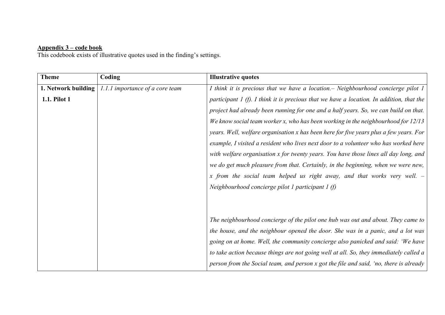## **Appendix 3 – code book**

This codebook exists of illustrative quotes used in the finding's settings.

<span id="page-55-0"></span>

| <b>Theme</b>        | Coding                          | <b>Illustrative quotes</b>                                                                 |
|---------------------|---------------------------------|--------------------------------------------------------------------------------------------|
| 1. Network building | 1.1.1 importance of a core team | I think it is precious that we have a location. – Neighbourhood concierge pilot 1          |
| 1.1. Pilot 1        |                                 | participant $I(f)$ . I think it is precious that we have a location. In addition, that the |
|                     |                                 | project had already been running for one and a half years. So, we can build on that.       |
|                     |                                 | We know social team worker x, who has been working in the neighbourhood for $12/13$        |
|                     |                                 | years. Well, welfare organisation x has been here for five years plus a few years. For     |
|                     |                                 | example, I visited a resident who lives next door to a volunteer who has worked here       |
|                     |                                 | with welfare organisation x for twenty years. You have those lines all day long, and       |
|                     |                                 | we do get much pleasure from that. Certainly, in the beginning, when we were new,          |
|                     |                                 | x from the social team helped us right away, and that works very well. $-$                 |
|                     |                                 | Neighbourhood concierge pilot 1 participant 1 $(f)$                                        |
|                     |                                 |                                                                                            |
|                     |                                 |                                                                                            |
|                     |                                 | The neighbourhood concierge of the pilot one hub was out and about. They came to           |
|                     |                                 | the house, and the neighbour opened the door. She was in a panic, and a lot was            |
|                     |                                 | going on at home. Well, the community concierge also panicked and said: 'We have           |
|                     |                                 | to take action because things are not going well at all. So, they immediately called a     |
|                     |                                 | person from the Social team, and person x got the file and said, 'no, there is already     |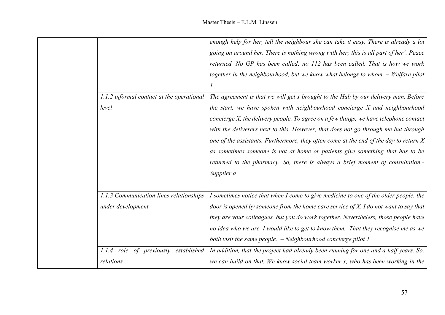| enough help for her, tell the neighbour she can take it easy. There is already a lot<br>going on around her. There is nothing wrong with her; this is all part of her'. Peace<br>returned. No GP has been called; no 112 has been called. That is how we work<br>together in the neighbourhood, but we know what belongs to whom. - Welfare pilot<br>The agreement is that we will get x brought to the Hub by our delivery man. Before<br>1.1.2 informal contact at the operational<br>level<br>the start, we have spoken with neighbourhood concierge X and neighbourhood<br>concierge X, the delivery people. To agree on a few things, we have telephone contact<br>with the deliverers next to this. However, that does not go through me but through<br>one of the assistants. Furthermore, they often come at the end of the day to return $X$<br>as sometimes someone is not at home or patients give something that has to be<br>returned to the pharmacy. So, there is always a brief moment of consultation.-<br>Supplier a<br>1.1.3 Communication lines relationships<br>I sometimes notice that when I come to give medicine to one of the older people, the<br>under development<br>door is opened by someone from the home care service of $X$ . I do not want to say that<br>they are your colleagues, but you do work together. Nevertheless, those people have<br>no idea who we are. I would like to get to know them. That they recognise me as we<br>both visit the same people. - Neighbourhood concierge pilot 1<br>1.1.4 role of previously established<br>In addition, that the project had already been running for one and a half years. So,<br>relations<br>we can build on that. We know social team worker x, who has been working in the |  |  |
|-------------------------------------------------------------------------------------------------------------------------------------------------------------------------------------------------------------------------------------------------------------------------------------------------------------------------------------------------------------------------------------------------------------------------------------------------------------------------------------------------------------------------------------------------------------------------------------------------------------------------------------------------------------------------------------------------------------------------------------------------------------------------------------------------------------------------------------------------------------------------------------------------------------------------------------------------------------------------------------------------------------------------------------------------------------------------------------------------------------------------------------------------------------------------------------------------------------------------------------------------------------------------------------------------------------------------------------------------------------------------------------------------------------------------------------------------------------------------------------------------------------------------------------------------------------------------------------------------------------------------------------------------------------------------------------------------------------------------------------------------------------------------|--|--|
|                                                                                                                                                                                                                                                                                                                                                                                                                                                                                                                                                                                                                                                                                                                                                                                                                                                                                                                                                                                                                                                                                                                                                                                                                                                                                                                                                                                                                                                                                                                                                                                                                                                                                                                                                                         |  |  |
|                                                                                                                                                                                                                                                                                                                                                                                                                                                                                                                                                                                                                                                                                                                                                                                                                                                                                                                                                                                                                                                                                                                                                                                                                                                                                                                                                                                                                                                                                                                                                                                                                                                                                                                                                                         |  |  |
|                                                                                                                                                                                                                                                                                                                                                                                                                                                                                                                                                                                                                                                                                                                                                                                                                                                                                                                                                                                                                                                                                                                                                                                                                                                                                                                                                                                                                                                                                                                                                                                                                                                                                                                                                                         |  |  |
|                                                                                                                                                                                                                                                                                                                                                                                                                                                                                                                                                                                                                                                                                                                                                                                                                                                                                                                                                                                                                                                                                                                                                                                                                                                                                                                                                                                                                                                                                                                                                                                                                                                                                                                                                                         |  |  |
|                                                                                                                                                                                                                                                                                                                                                                                                                                                                                                                                                                                                                                                                                                                                                                                                                                                                                                                                                                                                                                                                                                                                                                                                                                                                                                                                                                                                                                                                                                                                                                                                                                                                                                                                                                         |  |  |
|                                                                                                                                                                                                                                                                                                                                                                                                                                                                                                                                                                                                                                                                                                                                                                                                                                                                                                                                                                                                                                                                                                                                                                                                                                                                                                                                                                                                                                                                                                                                                                                                                                                                                                                                                                         |  |  |
|                                                                                                                                                                                                                                                                                                                                                                                                                                                                                                                                                                                                                                                                                                                                                                                                                                                                                                                                                                                                                                                                                                                                                                                                                                                                                                                                                                                                                                                                                                                                                                                                                                                                                                                                                                         |  |  |
|                                                                                                                                                                                                                                                                                                                                                                                                                                                                                                                                                                                                                                                                                                                                                                                                                                                                                                                                                                                                                                                                                                                                                                                                                                                                                                                                                                                                                                                                                                                                                                                                                                                                                                                                                                         |  |  |
|                                                                                                                                                                                                                                                                                                                                                                                                                                                                                                                                                                                                                                                                                                                                                                                                                                                                                                                                                                                                                                                                                                                                                                                                                                                                                                                                                                                                                                                                                                                                                                                                                                                                                                                                                                         |  |  |
|                                                                                                                                                                                                                                                                                                                                                                                                                                                                                                                                                                                                                                                                                                                                                                                                                                                                                                                                                                                                                                                                                                                                                                                                                                                                                                                                                                                                                                                                                                                                                                                                                                                                                                                                                                         |  |  |
|                                                                                                                                                                                                                                                                                                                                                                                                                                                                                                                                                                                                                                                                                                                                                                                                                                                                                                                                                                                                                                                                                                                                                                                                                                                                                                                                                                                                                                                                                                                                                                                                                                                                                                                                                                         |  |  |
|                                                                                                                                                                                                                                                                                                                                                                                                                                                                                                                                                                                                                                                                                                                                                                                                                                                                                                                                                                                                                                                                                                                                                                                                                                                                                                                                                                                                                                                                                                                                                                                                                                                                                                                                                                         |  |  |
|                                                                                                                                                                                                                                                                                                                                                                                                                                                                                                                                                                                                                                                                                                                                                                                                                                                                                                                                                                                                                                                                                                                                                                                                                                                                                                                                                                                                                                                                                                                                                                                                                                                                                                                                                                         |  |  |
|                                                                                                                                                                                                                                                                                                                                                                                                                                                                                                                                                                                                                                                                                                                                                                                                                                                                                                                                                                                                                                                                                                                                                                                                                                                                                                                                                                                                                                                                                                                                                                                                                                                                                                                                                                         |  |  |
|                                                                                                                                                                                                                                                                                                                                                                                                                                                                                                                                                                                                                                                                                                                                                                                                                                                                                                                                                                                                                                                                                                                                                                                                                                                                                                                                                                                                                                                                                                                                                                                                                                                                                                                                                                         |  |  |
|                                                                                                                                                                                                                                                                                                                                                                                                                                                                                                                                                                                                                                                                                                                                                                                                                                                                                                                                                                                                                                                                                                                                                                                                                                                                                                                                                                                                                                                                                                                                                                                                                                                                                                                                                                         |  |  |
|                                                                                                                                                                                                                                                                                                                                                                                                                                                                                                                                                                                                                                                                                                                                                                                                                                                                                                                                                                                                                                                                                                                                                                                                                                                                                                                                                                                                                                                                                                                                                                                                                                                                                                                                                                         |  |  |
|                                                                                                                                                                                                                                                                                                                                                                                                                                                                                                                                                                                                                                                                                                                                                                                                                                                                                                                                                                                                                                                                                                                                                                                                                                                                                                                                                                                                                                                                                                                                                                                                                                                                                                                                                                         |  |  |
|                                                                                                                                                                                                                                                                                                                                                                                                                                                                                                                                                                                                                                                                                                                                                                                                                                                                                                                                                                                                                                                                                                                                                                                                                                                                                                                                                                                                                                                                                                                                                                                                                                                                                                                                                                         |  |  |
|                                                                                                                                                                                                                                                                                                                                                                                                                                                                                                                                                                                                                                                                                                                                                                                                                                                                                                                                                                                                                                                                                                                                                                                                                                                                                                                                                                                                                                                                                                                                                                                                                                                                                                                                                                         |  |  |
|                                                                                                                                                                                                                                                                                                                                                                                                                                                                                                                                                                                                                                                                                                                                                                                                                                                                                                                                                                                                                                                                                                                                                                                                                                                                                                                                                                                                                                                                                                                                                                                                                                                                                                                                                                         |  |  |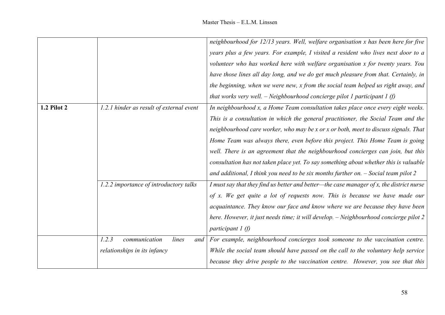|                    |                                          | neighbourhood for 12/13 years. Well, welfare organisation x has been here for five       |
|--------------------|------------------------------------------|------------------------------------------------------------------------------------------|
|                    |                                          | years plus a few years. For example, I visited a resident who lives next door to a       |
|                    |                                          | volunteer who has worked here with welfare organisation x for twenty years. You          |
|                    |                                          | have those lines all day long, and we do get much pleasure from that. Certainly, in      |
|                    |                                          | the beginning, when we were new, x from the social team helped us right away, and        |
|                    |                                          | that works very well. $-$ Neighbourhood concierge pilot 1 participant 1 (f)              |
| <b>1.2 Pilot 2</b> | 1.2.1 hinder as result of external event | In neighbourhood x, a Home Team consultation takes place once every eight weeks.         |
|                    |                                          | This is a consultation in which the general practitioner, the Social Team and the        |
|                    |                                          | neighbourhood care worker, who may be x or x or both, meet to discuss signals. That      |
|                    |                                          | Home Team was always there, even before this project. This Home Team is going            |
|                    |                                          | well. There is an agreement that the neighbourhood concierges can join, but this         |
|                    |                                          | consultation has not taken place yet. To say something about whether this is valuable    |
|                    |                                          | and additional, I think you need to be six months further on. $-$ Social team pilot 2    |
|                    | 1.2.2 importance of introductory talks   | I must say that they find us better and better—the case manager of x, the district nurse |
|                    |                                          | of x. We get quite a lot of requests now. This is because we have made our               |
|                    |                                          | acquaintance. They know our face and know where we are because they have been            |
|                    |                                          | here. However, it just needs time; it will develop. - Neighbourhood concierge pilot 2    |
|                    |                                          | participant $1(f)$                                                                       |
|                    | 1.2.3<br>communication<br>lines<br>and   | For example, neighbourhood concierges took someone to the vaccination centre.            |
|                    | relationships in its infancy             | While the social team should have passed on the call to the voluntary help service       |
|                    |                                          | because they drive people to the vaccination centre. However, you see that this          |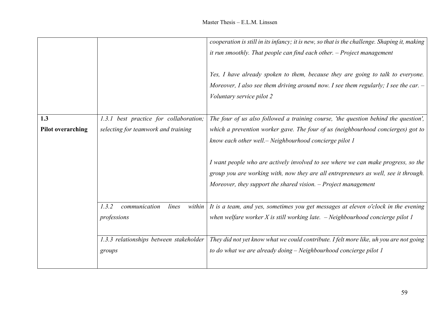|                          |                                           | cooperation is still in its infancy; it is new, so that is the challenge. Shaping it, making |
|--------------------------|-------------------------------------------|----------------------------------------------------------------------------------------------|
|                          |                                           | it run smoothly. That people can find each other. $-$ Project management                     |
|                          |                                           |                                                                                              |
|                          |                                           | Yes, I have already spoken to them, because they are going to talk to everyone.              |
|                          |                                           |                                                                                              |
|                          |                                           | Moreover, I also see them driving around now. I see them regularly; I see the car. $-$       |
|                          |                                           | Voluntary service pilot 2                                                                    |
|                          |                                           |                                                                                              |
| 1.3                      | 1.3.1 best practice for collaboration;    | The four of us also followed a training course, 'the question behind the question',          |
| <b>Pilot overarching</b> | selecting for teamwork and training       | which a prevention worker gave. The four of us (neighbourhood concierges) got to             |
|                          |                                           | know each other well. – Neighbourhood concierge pilot 1                                      |
|                          |                                           |                                                                                              |
|                          |                                           |                                                                                              |
|                          |                                           | I want people who are actively involved to see where we can make progress, so the            |
|                          |                                           | group you are working with, now they are all entrepreneurs as well, see it through.          |
|                          |                                           | Moreover, they support the shared vision. $-$ Project management                             |
|                          |                                           |                                                                                              |
|                          | 1.3.2<br>lines<br>communication<br>within | It is a team, and yes, sometimes you get messages at eleven o'clock in the evening           |
|                          |                                           |                                                                                              |
|                          | professions                               | when welfare worker $X$ is still working late. $-$ Neighbourhood concierge pilot 1           |
|                          |                                           |                                                                                              |
|                          | 1.3.3 relationships between stakeholder   | They did not yet know what we could contribute. I felt more like, uh you are not going       |
|                          | groups                                    | to do what we are already doing - Neighbourhood concierge pilot 1                            |
|                          |                                           |                                                                                              |
|                          |                                           |                                                                                              |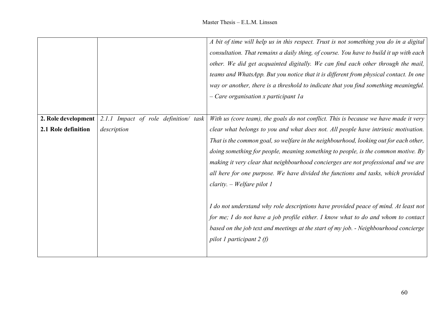|                     |                                       | A bit of time will help us in this respect. Trust is not something you do in a digital |
|---------------------|---------------------------------------|----------------------------------------------------------------------------------------|
|                     |                                       | consultation. That remains a daily thing, of course. You have to build it up with each |
|                     |                                       | other. We did get acquainted digitally. We can find each other through the mail,       |
|                     |                                       | teams and WhatsApp. But you notice that it is different from physical contact. In one  |
|                     |                                       | way or another, there is a threshold to indicate that you find something meaningful.   |
|                     |                                       | $-$ Care organisation x participant 1a                                                 |
|                     |                                       |                                                                                        |
| 2. Role development | 2.1.1 Impact of role definition/ task | With us (core team), the goals do not conflict. This is because we have made it very   |
| 2.1 Role definition | description                           | clear what belongs to you and what does not. All people have intrinsic motivation.     |
|                     |                                       | That is the common goal, so welfare in the neighbourhood, looking out for each other,  |
|                     |                                       | doing something for people, meaning something to people, is the common motive. By      |
|                     |                                       | making it very clear that neighbourhood concierges are not professional and we are     |
|                     |                                       | all here for one purpose. We have divided the functions and tasks, which provided      |
|                     |                                       | $clarity. - Welfare pilot 1$                                                           |
|                     |                                       |                                                                                        |
|                     |                                       | I do not understand why role descriptions have provided peace of mind. At least not    |
|                     |                                       | for me; I do not have a job profile either. I know what to do and whom to contact      |
|                     |                                       | based on the job text and meetings at the start of my job. - Neighbourhood concierge   |
|                     |                                       | pilot 1 participant 2 $(f)$                                                            |
|                     |                                       |                                                                                        |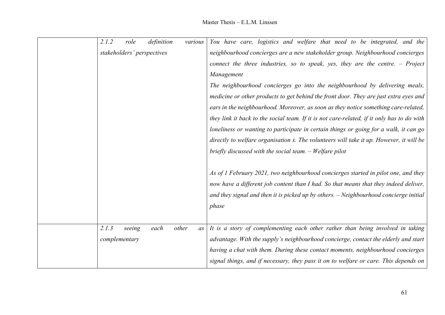| 2.1.2                      | role   | definition | various     | You have care, logistics and welfare that need to be integrated, and the                   |
|----------------------------|--------|------------|-------------|--------------------------------------------------------------------------------------------|
| stakeholders' perspectives |        |            |             | neighbourhood concierges are a new stakeholder group. Neighbourhood concierges             |
|                            |        |            |             | connect the three industries, so to speak, yes, they are the centre. $-$ Project           |
|                            |        |            |             | Management                                                                                 |
|                            |        |            |             | The neighbourhood concierges go into the neighbourhood by delivering meals,                |
|                            |        |            |             | medicine or other products to get behind the front door. They are just extra eyes and      |
|                            |        |            |             | ears in the neighbourhood. Moreover, as soon as they notice something care-related,        |
|                            |        |            |             | they link it back to the social team. If it is not care-related, if it only has to do with |
|                            |        |            |             | loneliness or wanting to participate in certain things or going for a walk, it can go      |
|                            |        |            |             | directly to welfare organisation x. The volunteers will take it up. However, it will be    |
|                            |        |            |             | briefly discussed with the social team. - Welfare pilot                                    |
|                            |        |            |             |                                                                                            |
|                            |        |            |             | As of 1 February 2021, two neighbourhood concierges started in pilot one, and they         |
|                            |        |            |             | now have a different job content than I had. So that means that they indeed deliver,       |
|                            |        |            |             | and they signal and then it is picked up by others. - Neighbourhood concierge initial      |
|                            |        |            |             | phase                                                                                      |
|                            |        |            |             |                                                                                            |
| 2.1.3                      | seeing | each       | other<br>as | It is a story of complementing each other rather than being involved in taking             |
| complementary              |        |            |             | advantage. With the supply's neighbourhood concierge, contact the elderly and start        |
|                            |        |            |             | having a chat with them. During these contact moments, neighbourhood concierges            |
|                            |        |            |             | signal things, and if necessary, they pass it on to welfare or care. This depends on       |
|                            |        |            |             |                                                                                            |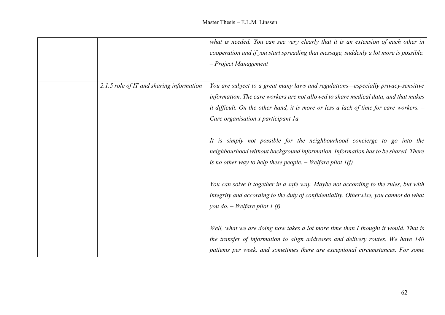|                                          | what is needed. You can see very clearly that it is an extension of each other in        |
|------------------------------------------|------------------------------------------------------------------------------------------|
|                                          | cooperation and if you start spreading that message, suddenly a lot more is possible.    |
|                                          | - Project Management                                                                     |
|                                          |                                                                                          |
| 2.1.5 role of IT and sharing information | You are subject to a great many laws and regulations-especially privacy-sensitive        |
|                                          | information. The care workers are not allowed to share medical data, and that makes      |
|                                          | it difficult. On the other hand, it is more or less a lack of time for care workers. $-$ |
|                                          | Care organisation x participant 1a                                                       |
|                                          |                                                                                          |
|                                          | It is simply not possible for the neighbourhood concierge to go into the                 |
|                                          | neighbourhood without background information. Information has to be shared. There        |
|                                          | is no other way to help these people. – Welfare pilot $1(f)$                             |
|                                          |                                                                                          |
|                                          | You can solve it together in a safe way. Maybe not according to the rules, but with      |
|                                          | integrity and according to the duty of confidentiality. Otherwise, you cannot do what    |
|                                          | you do. $-$ Welfare pilot 1 (f)                                                          |
|                                          |                                                                                          |
|                                          | Well, what we are doing now takes a lot more time than I thought it would. That is       |
|                                          | the transfer of information to align addresses and delivery routes. We have 140          |
|                                          | patients per week, and sometimes there are exceptional circumstances. For some           |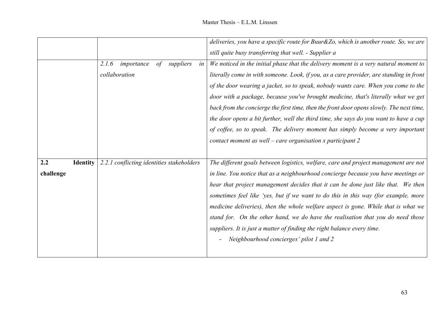|           |                 |                                                      | deliveries, you have a specific route for Buur&Zo, which is another route. So, we are    |
|-----------|-----------------|------------------------------------------------------|------------------------------------------------------------------------------------------|
|           |                 |                                                      | still quite busy transferring that well. - Supplier a                                    |
|           |                 | 2.1.6<br>$\sigma f$<br>suppliers<br>importance<br>in | We noticed in the initial phase that the delivery moment is a very natural moment to     |
|           |                 | collaboration                                        | literally come in with someone. Look, if you, as a care provider, are standing in front  |
|           |                 |                                                      | of the door wearing a jacket, so to speak, nobody wants care. When you come to the       |
|           |                 |                                                      | door with a package, because you've brought medicine, that's literally what we get       |
|           |                 |                                                      | back from the concierge the first time, then the front door opens slowly. The next time, |
|           |                 |                                                      | the door opens a bit further, well the third time, she says do you want to have a cup    |
|           |                 |                                                      | of coffee, so to speak. The delivery moment has simply become a very important           |
|           |                 |                                                      | contact moment as well – care organisation x participant $2$                             |
|           |                 |                                                      |                                                                                          |
| 2.2       | <b>Identity</b> | 2.2.1 conflicting identities stakeholders            | The different goals between logistics, welfare, care and project management are not      |
| challenge |                 |                                                      | in line. You notice that as a neighbourhood concierge because you have meetings or       |
|           |                 |                                                      | hear that project management decides that it can be done just like that. We then         |
|           |                 |                                                      | sometimes feel like 'yes, but if we want to do this in this way (for example, more       |
|           |                 |                                                      | medicine deliveries), then the whole welfare aspect is gone. While that is what we       |
|           |                 |                                                      | stand for. On the other hand, we do have the realisation that you do need those          |
|           |                 |                                                      | suppliers. It is just a matter of finding the right balance every time.                  |
|           |                 |                                                      | Neighbourhood concierges' pilot 1 and 2                                                  |
|           |                 |                                                      |                                                                                          |
|           |                 |                                                      |                                                                                          |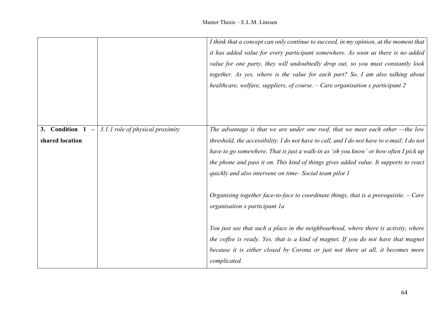|                                   |                                  | I think that a concept can only continue to succeed, in my opinion, at the moment that<br>it has added value for every participant somewhere. As soon as there is no added<br>value for one party, they will undoubtedly drop out, so you must constantly look<br>together. As yes, where is the value for each part? So, I am also talking about<br>healthcare, welfare, suppliers, of course. $-$ Care organisation x participant 2 |
|-----------------------------------|----------------------------------|---------------------------------------------------------------------------------------------------------------------------------------------------------------------------------------------------------------------------------------------------------------------------------------------------------------------------------------------------------------------------------------------------------------------------------------|
| 3. Condition 1<br>shared location | 3.1.1 role of physical proximity | The advantage is that we are under one roof, that we meet each other -- the low<br>threshold, the accessibility. I do not have to call, and I do not have to e-mail; I do not<br>have to go somewhere. That is just a walk-in as 'oh you know' or how often I pick up<br>the phone and pass it on. This kind of things gives added value. It supports to react<br>quickly and also intervene on time– Social team pilot 1             |
|                                   |                                  | Organising together face-to-face to coordinate things, that is a prerequisite. $-$ Care<br>organisation x participant la                                                                                                                                                                                                                                                                                                              |
|                                   |                                  | You just see that such a place in the neighbourhood, where there is activity, where<br>the coffee is ready. Yes, that is a kind of magnet. If you do not have that magnet<br>because it is either closed by Corona or just not there at all, it becomes more<br>complicated.                                                                                                                                                          |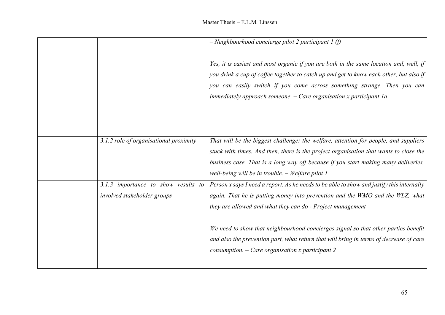|                                                                    | $-$ Neighbourhood concierge pilot 2 participant 1 (f)                                                                                                                                                                                                                                                                                |
|--------------------------------------------------------------------|--------------------------------------------------------------------------------------------------------------------------------------------------------------------------------------------------------------------------------------------------------------------------------------------------------------------------------------|
|                                                                    | Yes, it is easiest and most organic if you are both in the same location and, well, if<br>you drink a cup of coffee together to catch up and get to know each other, but also if<br>you can easily switch if you come across something strange. Then you can<br>immediately approach someone. $-$ Care organisation x participant 1a |
| 3.1.2 role of organisational proximity                             | That will be the biggest challenge: the welfare, attention for people, and suppliers                                                                                                                                                                                                                                                 |
|                                                                    | stuck with times. And then, there is the project organisation that wants to close the<br>business case. That is a long way off because if you start making many deliveries,<br>well-being will be in trouble. - Welfare pilot 1                                                                                                      |
| 3.1.3 importance to show results to<br>involved stakeholder groups | Person x says I need a report. As he needs to be able to show and justify this internally<br>again. That he is putting money into prevention and the WMO and the WLZ, what<br>they are allowed and what they can do - Project management                                                                                             |
|                                                                    | We need to show that neighbourhood concierges signal so that other parties benefit<br>and also the prevention part, what return that will bring in terms of decrease of care<br>consumption. $-$ Care organisation x participant 2                                                                                                   |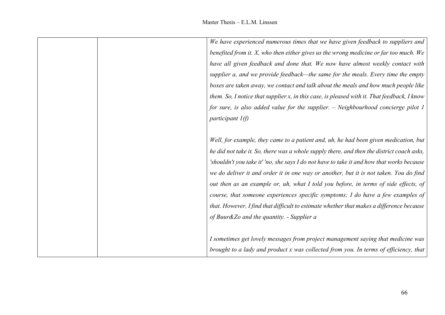|  | We have experienced numerous times that we have given feedback to suppliers and             |
|--|---------------------------------------------------------------------------------------------|
|  | benefited from it. X, who then either gives us the wrong medicine or far too much. We       |
|  | have all given feedback and done that. We now have almost weekly contact with               |
|  | supplier a, and we provide feedback—the same for the meals. Every time the empty            |
|  | boxes are taken away, we contact and talk about the meals and how much people like          |
|  | them. So, I notice that supplier x, in this case, is pleased with it. That feedback, I know |
|  | for sure, is also added value for the supplier. - Neighbourhood concierge pilot 1           |
|  | participant $l(f)$                                                                          |
|  | Well, for example, they came to a patient and, uh, he had been given medication, but        |
|  | he did not take it. So, there was a whole supply there, and then the district coach asks,   |
|  | 'shouldn't you take it' 'no, she says I do not have to take it and how that works because   |
|  | we do deliver it and order it in one way or another, but it is not taken. You do find       |
|  | out then as an example or, uh, what I told you before, in terms of side effects, of         |
|  | course, that someone experiences specific symptoms; I do have a few examples of             |
|  | that. However, I find that difficult to estimate whether that makes a difference because    |
|  | of Buur&Zo and the quantity. - Supplier a                                                   |
|  | I sometimes get lovely messages from project management saying that medicine was            |
|  | brought to a lady and product x was collected from you. In terms of efficiency, that        |
|  |                                                                                             |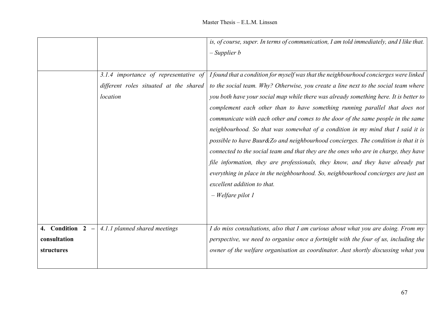|                  |                                        | is, of course, super. In terms of communication, I am told immediately, and I like that. |
|------------------|----------------------------------------|------------------------------------------------------------------------------------------|
|                  |                                        | $-$ Supplier $b$                                                                         |
|                  |                                        |                                                                                          |
|                  | 3.1.4 importance of representative of  | I found that a condition for myself was that the neighbourhood concierges were linked    |
|                  | different roles situated at the shared | to the social team. Why? Otherwise, you create a line next to the social team where      |
|                  | location                               | you both have your social map while there was already something here. It is better to    |
|                  |                                        | complement each other than to have something running parallel that does not              |
|                  |                                        | communicate with each other and comes to the door of the same people in the same         |
|                  |                                        | neighbourhood. So that was somewhat of a condition in my mind that I said it is          |
|                  |                                        | possible to have Buur&Zo and neighbourhood concierges. The condition is that it is       |
|                  |                                        | connected to the social team and that they are the ones who are in charge, they have     |
|                  |                                        | file information, they are professionals, they know, and they have already put           |
|                  |                                        | everything in place in the neighbourhood. So, neighbourhood concierges are just an       |
|                  |                                        | excellent addition to that.                                                              |
|                  |                                        | $-$ Welfare pilot 1                                                                      |
|                  |                                        |                                                                                          |
|                  |                                        |                                                                                          |
| 4. Condition 2 - | 4.1.1 planned shared meetings          | I do miss consultations, also that I am curious about what you are doing. From my        |
| consultation     |                                        | perspective, we need to organise once a fortnight with the four of us, including the     |
| structures       |                                        | owner of the welfare organisation as coordinator. Just shortly discussing what you       |
|                  |                                        |                                                                                          |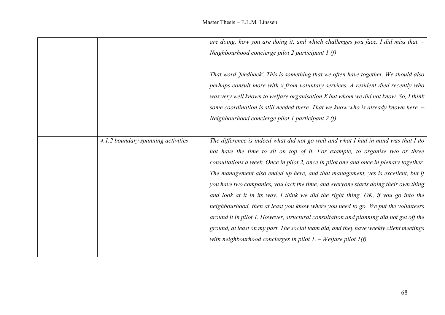|                                    | are doing, how you are doing it, and which challenges you face. I did miss that. -      |
|------------------------------------|-----------------------------------------------------------------------------------------|
|                                    | Neighbourhood concierge pilot 2 participant $1(f)$                                      |
|                                    |                                                                                         |
|                                    | That word 'feedback'. This is something that we often have together. We should also     |
|                                    | perhaps consult more with x from voluntary services. A resident died recently who       |
|                                    | was very well known to welfare organisation $X$ but whom we did not know. So, I think   |
|                                    | some coordination is still needed there. That we know who is already known here. $-$    |
|                                    | Neighbourhood concierge pilot 1 participant 2 $(f)$                                     |
|                                    |                                                                                         |
| 4.1.2 boundary spanning activities | The difference is indeed what did not go well and what I had in mind was that I do      |
|                                    | not have the time to sit on top of it. For example, to organise two or three            |
|                                    | consultations a week. Once in pilot 2, once in pilot one and once in plenary together.  |
|                                    | The management also ended up here, and that management, yes is excellent, but if        |
|                                    | you have two companies, you lack the time, and everyone starts doing their own thing    |
|                                    | and look at it in its way. I think we did the right thing, OK, if you go into the       |
|                                    | neighbourhood, then at least you know where you need to go. We put the volunteers       |
|                                    | around it in pilot 1. However, structural consultation and planning did not get off the |
|                                    | ground, at least on my part. The social team did, and they have weekly client meetings  |
|                                    | with neighbourhood concierges in pilot $I. -$ Welfare pilot $I(f)$                      |
|                                    |                                                                                         |
|                                    |                                                                                         |